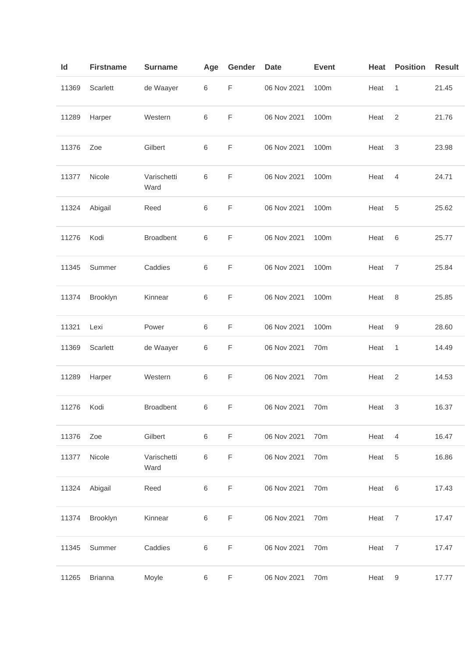| Id    | <b>Firstname</b> | <b>Surname</b>      | Age     | Gender      | <b>Date</b> | <b>Event</b>    | Heat | <b>Position</b> | <b>Result</b> |
|-------|------------------|---------------------|---------|-------------|-------------|-----------------|------|-----------------|---------------|
| 11369 | Scarlett         | de Waayer           | 6       | $\mathsf F$ | 06 Nov 2021 | 100m            | Heat | 1               | 21.45         |
| 11289 | Harper           | Western             | 6       | $\mathsf F$ | 06 Nov 2021 | 100m            | Heat | $\overline{2}$  | 21.76         |
| 11376 | Zoe              | Gilbert             | 6       | F           | 06 Nov 2021 | 100m            | Heat | 3               | 23.98         |
| 11377 | Nicole           | Varischetti<br>Ward | $\,6$   | $\mathsf F$ | 06 Nov 2021 | 100m            | Heat | $\overline{4}$  | 24.71         |
| 11324 | Abigail          | Reed                | 6       | F           | 06 Nov 2021 | 100m            | Heat | 5               | 25.62         |
| 11276 | Kodi             | Broadbent           | $\,6$   | $\mathsf F$ | 06 Nov 2021 | 100m            | Heat | 6               | 25.77         |
| 11345 | Summer           | Caddies             | 6       | $\mathsf F$ | 06 Nov 2021 | 100m            | Heat | $\overline{7}$  | 25.84         |
| 11374 | Brooklyn         | Kinnear             | 6       | F           | 06 Nov 2021 | 100m            | Heat | 8               | 25.85         |
| 11321 | Lexi             | Power               | $\,6$   | $\mathsf F$ | 06 Nov 2021 | 100m            | Heat | 9               | 28.60         |
| 11369 | Scarlett         | de Waayer           | 6       | F           | 06 Nov 2021 | 70 <sub>m</sub> | Heat | 1               | 14.49         |
| 11289 | Harper           | Western             | 6       | F           | 06 Nov 2021 | 70m             | Heat | 2               | 14.53         |
| 11276 | Kodi             | <b>Broadbent</b>    | $\,6$   | F           | 06 Nov 2021 | 70 <sub>m</sub> | Heat | 3               | 16.37         |
| 11376 | Zoe              | Gilbert             | $\,6\,$ | $\mathsf F$ | 06 Nov 2021 | 70m             | Heat | 4               | 16.47         |
| 11377 | Nicole           | Varischetti<br>Ward | $\,6$   | $\mathsf F$ | 06 Nov 2021 | 70m             | Heat | 5               | 16.86         |
| 11324 | Abigail          | Reed                | $\,6$   | $\mathsf F$ | 06 Nov 2021 | 70m             | Heat | 6               | 17.43         |
| 11374 | Brooklyn         | Kinnear             | $\,6$   | $\mathsf F$ | 06 Nov 2021 | 70 <sub>m</sub> | Heat | $\overline{7}$  | 17.47         |
| 11345 | Summer           | Caddies             | $\,6$   | $\mathsf F$ | 06 Nov 2021 | 70m             | Heat | $\overline{7}$  | 17.47         |
| 11265 | <b>Brianna</b>   | Moyle               | 6       | F           | 06 Nov 2021 | 70m             | Heat | 9               | 17.77         |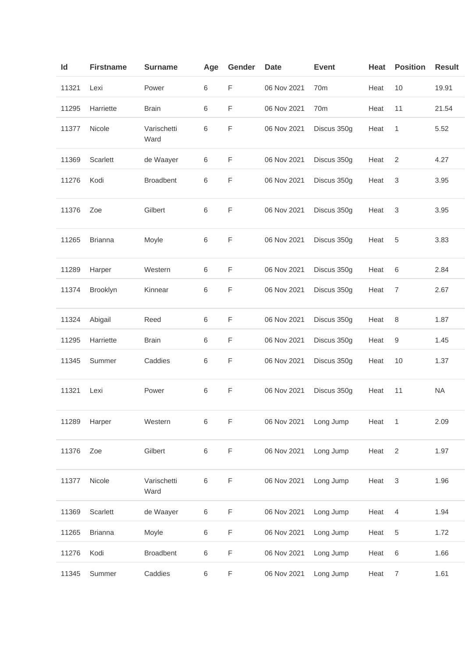| ld    | <b>Firstname</b> | <b>Surname</b>      | Age | Gender | <b>Date</b> | <b>Event</b>    | Heat | <b>Position</b> | <b>Result</b> |
|-------|------------------|---------------------|-----|--------|-------------|-----------------|------|-----------------|---------------|
| 11321 | Lexi             | Power               | 6   | F      | 06 Nov 2021 | 70 <sub>m</sub> | Heat | 10              | 19.91         |
| 11295 | Harriette        | <b>Brain</b>        | 6   | F      | 06 Nov 2021 | 70m             | Heat | 11              | 21.54         |
| 11377 | Nicole           | Varischetti<br>Ward | 6   | F      | 06 Nov 2021 | Discus 350g     | Heat | 1               | 5.52          |
| 11369 | Scarlett         | de Waayer           | 6   | F      | 06 Nov 2021 | Discus 350g     | Heat | 2               | 4.27          |
| 11276 | Kodi             | <b>Broadbent</b>    | 6   | F      | 06 Nov 2021 | Discus 350g     | Heat | 3               | 3.95          |
| 11376 | Zoe              | Gilbert             | 6   | F      | 06 Nov 2021 | Discus 350g     | Heat | 3               | 3.95          |
| 11265 | <b>Brianna</b>   | Moyle               | 6   | F      | 06 Nov 2021 | Discus 350g     | Heat | 5               | 3.83          |
| 11289 | Harper           | Western             | 6   | F      | 06 Nov 2021 | Discus 350g     | Heat | 6               | 2.84          |
| 11374 | Brooklyn         | Kinnear             | 6   | F      | 06 Nov 2021 | Discus 350g     | Heat | $\overline{7}$  | 2.67          |
| 11324 | Abigail          | Reed                | 6   | F      | 06 Nov 2021 | Discus 350g     | Heat | 8               | 1.87          |
| 11295 | Harriette        | <b>Brain</b>        | 6   | F      | 06 Nov 2021 | Discus 350g     | Heat | 9               | 1.45          |
| 11345 | Summer           | Caddies             | 6   | F      | 06 Nov 2021 | Discus 350g     | Heat | 10              | 1.37          |
| 11321 | Lexi             | Power               | 6   | F      | 06 Nov 2021 | Discus 350g     | Heat | 11              | <b>NA</b>     |
| 11289 | Harper           | Western             | 6   | F      | 06 Nov 2021 | Long Jump       | Heat | 1               | 2.09          |
| 11376 | Zoe              | Gilbert             | 6   | F      | 06 Nov 2021 | Long Jump       | Heat | $\overline{2}$  | 1.97          |
| 11377 | Nicole           | Varischetti<br>Ward | 6   | F      | 06 Nov 2021 | Long Jump       | Heat | $\sqrt{3}$      | 1.96          |
| 11369 | Scarlett         | de Waayer           | 6   | F      | 06 Nov 2021 | Long Jump       | Heat | 4               | 1.94          |
| 11265 | <b>Brianna</b>   | Moyle               | 6   | F      | 06 Nov 2021 | Long Jump       | Heat | 5               | 1.72          |
| 11276 | Kodi             | <b>Broadbent</b>    | 6   | F      | 06 Nov 2021 | Long Jump       | Heat | 6               | 1.66          |
| 11345 | Summer           | Caddies             | 6   | F      | 06 Nov 2021 | Long Jump       | Heat | $\overline{7}$  | 1.61          |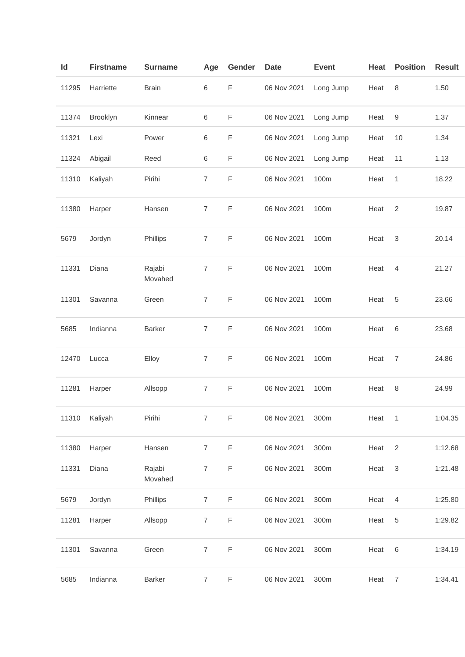| Id    | <b>Firstname</b> | <b>Surname</b>    | Age            | Gender      | <b>Date</b> | <b>Event</b> | <b>Heat</b> | <b>Position</b> | <b>Result</b> |
|-------|------------------|-------------------|----------------|-------------|-------------|--------------|-------------|-----------------|---------------|
| 11295 | Harriette        | <b>Brain</b>      | 6              | $\mathsf F$ | 06 Nov 2021 | Long Jump    | Heat        | 8               | 1.50          |
| 11374 | Brooklyn         | Kinnear           | $\,6\,$        | $\mathsf F$ | 06 Nov 2021 | Long Jump    | Heat        | 9               | 1.37          |
| 11321 | Lexi             | Power             | 6              | $\mathsf F$ | 06 Nov 2021 | Long Jump    | Heat        | 10              | 1.34          |
| 11324 | Abigail          | Reed              | 6              | $\mathsf F$ | 06 Nov 2021 | Long Jump    | Heat        | 11              | 1.13          |
| 11310 | Kaliyah          | Pirihi            | $\overline{7}$ | F           | 06 Nov 2021 | 100m         | Heat        | 1               | 18.22         |
| 11380 | Harper           | Hansen            | $\overline{7}$ | $\mathsf F$ | 06 Nov 2021 | 100m         | Heat        | 2               | 19.87         |
| 5679  | Jordyn           | Phillips          | $\overline{7}$ | $\mathsf F$ | 06 Nov 2021 | 100m         | Heat        | 3               | 20.14         |
| 11331 | Diana            | Rajabi<br>Movahed | $\overline{7}$ | F           | 06 Nov 2021 | 100m         | Heat        | 4               | 21.27         |
| 11301 | Savanna          | Green             | $\overline{7}$ | $\mathsf F$ | 06 Nov 2021 | 100m         | Heat        | 5               | 23.66         |
| 5685  | Indianna         | <b>Barker</b>     | $\overline{7}$ | F           | 06 Nov 2021 | 100m         | Heat        | 6               | 23.68         |
| 12470 | Lucca            | Elloy             | $\overline{7}$ | $\mathsf F$ | 06 Nov 2021 | 100m         | Heat        | 7               | 24.86         |
| 11281 | Harper           | Allsopp           | $\overline{7}$ | $\mathsf F$ | 06 Nov 2021 | 100m         | Heat        | 8               | 24.99         |
| 11310 | Kaliyah          | Pirihi            | $\overline{7}$ | $\mathsf F$ | 06 Nov 2021 | 300m         | Heat        | 1               | 1:04.35       |
| 11380 | Harper           | Hansen            | $\overline{7}$ | F           | 06 Nov 2021 | 300m         | Heat        | $\overline{2}$  | 1:12.68       |
| 11331 | Diana            | Rajabi<br>Movahed | $\overline{7}$ | $\mathsf F$ | 06 Nov 2021 | 300m         | Heat        | 3               | 1:21.48       |
| 5679  | Jordyn           | Phillips          | $\overline{7}$ | F           | 06 Nov 2021 | 300m         | Heat        | $\overline{4}$  | 1:25.80       |
| 11281 | Harper           | Allsopp           | $\overline{7}$ | F           | 06 Nov 2021 | 300m         | Heat        | 5               | 1:29.82       |
| 11301 | Savanna          | Green             | $\overline{7}$ | F           | 06 Nov 2021 | 300m         | Heat        | 6               | 1:34.19       |
| 5685  | Indianna         | <b>Barker</b>     | $\overline{7}$ | $\mathsf F$ | 06 Nov 2021 | $300m$       | Heat        | $\overline{7}$  | 1:34.41       |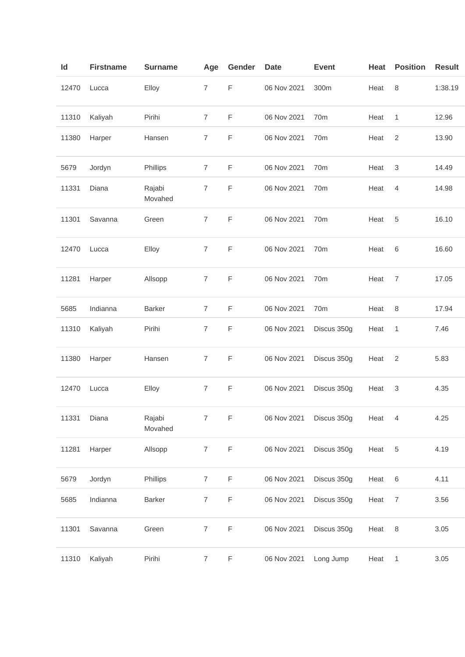| Id    | <b>Firstname</b> | <b>Surname</b>    | Age            | Gender      | <b>Date</b> | <b>Event</b>    | Heat | <b>Position</b>  | <b>Result</b> |
|-------|------------------|-------------------|----------------|-------------|-------------|-----------------|------|------------------|---------------|
| 12470 | Lucca            | Elloy             | $\overline{7}$ | $\mathsf F$ | 06 Nov 2021 | 300m            | Heat | $\,8\,$          | 1:38.19       |
| 11310 | Kaliyah          | Pirihi            | $\overline{7}$ | $\mathsf F$ | 06 Nov 2021 | 70m             | Heat | 1                | 12.96         |
| 11380 | Harper           | Hansen            | $\overline{7}$ | $\mathsf F$ | 06 Nov 2021 | 70m             | Heat | $\overline{c}$   | 13.90         |
| 5679  | Jordyn           | Phillips          | $\overline{7}$ | $\mathsf F$ | 06 Nov 2021 | 70m             | Heat | 3                | 14.49         |
| 11331 | Diana            | Rajabi<br>Movahed | $\overline{7}$ | F           | 06 Nov 2021 | 70m             | Heat | 4                | 14.98         |
| 11301 | Savanna          | Green             | $\overline{7}$ | $\mathsf F$ | 06 Nov 2021 | 70m             | Heat | 5                | 16.10         |
| 12470 | Lucca            | Elloy             | $\overline{7}$ | F           | 06 Nov 2021 | 70m             | Heat | 6                | 16.60         |
| 11281 | Harper           | Allsopp           | $\overline{7}$ | $\mathsf F$ | 06 Nov 2021 | 70 <sub>m</sub> | Heat | $\overline{7}$   | 17.05         |
| 5685  | Indianna         | Barker            | $\overline{7}$ | $\mathsf F$ | 06 Nov 2021 | 70 <sub>m</sub> | Heat | 8                | 17.94         |
| 11310 | Kaliyah          | Pirihi            | $\overline{7}$ | F           | 06 Nov 2021 | Discus 350g     | Heat | 1                | 7.46          |
| 11380 | Harper           | Hansen            | $\overline{7}$ | $\mathsf F$ | 06 Nov 2021 | Discus 350g     | Heat | 2                | 5.83          |
| 12470 | Lucca            | Elloy             | $\overline{7}$ | F           | 06 Nov 2021 | Discus 350g     | Heat | 3                | 4.35          |
| 11331 | Diana            | Rajabi<br>Movahed | $\overline{7}$ | $\mathsf F$ | 06 Nov 2021 | Discus 350g     | Heat | $\overline{4}$   | 4.25          |
| 11281 | Harper           | Allsopp           | $\overline{7}$ | $\mathsf F$ | 06 Nov 2021 | Discus 350g     | Heat | 5                | 4.19          |
| 5679  | Jordyn           | Phillips          | $\overline{7}$ | F           | 06 Nov 2021 | Discus 350g     | Heat | $\,6$            | 4.11          |
| 5685  | Indianna         | <b>Barker</b>     | $\overline{7}$ | F           | 06 Nov 2021 | Discus 350g     | Heat | $\boldsymbol{7}$ | 3.56          |
| 11301 | Savanna          | Green             | $\overline{7}$ | F           | 06 Nov 2021 | Discus 350g     | Heat | 8                | 3.05          |
| 11310 | Kaliyah          | Pirihi            | $\overline{7}$ | F           | 06 Nov 2021 | Long Jump       | Heat | 1                | 3.05          |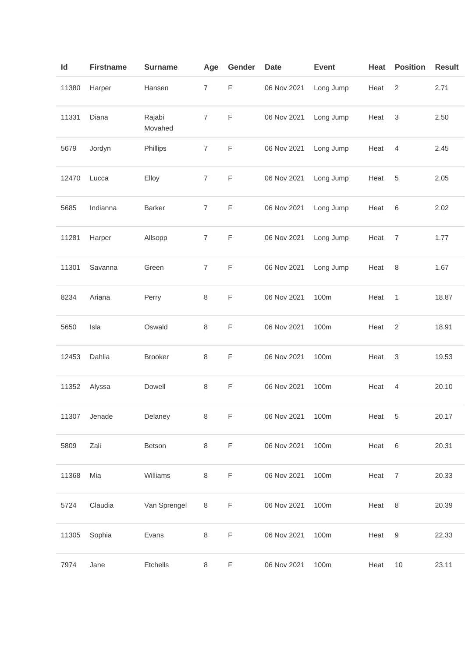| ld    | <b>Firstname</b> | <b>Surname</b>    | Age            | Gender      | <b>Date</b> | <b>Event</b> | Heat | <b>Position</b> | <b>Result</b> |
|-------|------------------|-------------------|----------------|-------------|-------------|--------------|------|-----------------|---------------|
| 11380 | Harper           | Hansen            | $\overline{7}$ | $\mathsf F$ | 06 Nov 2021 | Long Jump    | Heat | 2               | 2.71          |
| 11331 | Diana            | Rajabi<br>Movahed | $\overline{7}$ | $\mathsf F$ | 06 Nov 2021 | Long Jump    | Heat | 3               | 2.50          |
| 5679  | Jordyn           | Phillips          | $\overline{7}$ | $\mathsf F$ | 06 Nov 2021 | Long Jump    | Heat | $\overline{4}$  | 2.45          |
| 12470 | Lucca            | Elloy             | $\overline{7}$ | $\mathsf F$ | 06 Nov 2021 | Long Jump    | Heat | 5               | 2.05          |
| 5685  | Indianna         | Barker            | $\overline{7}$ | $\mathsf F$ | 06 Nov 2021 | Long Jump    | Heat | 6               | 2.02          |
| 11281 | Harper           | Allsopp           | $\overline{7}$ | $\mathsf F$ | 06 Nov 2021 | Long Jump    | Heat | 7               | 1.77          |
| 11301 | Savanna          | Green             | $\overline{7}$ | $\mathsf F$ | 06 Nov 2021 | Long Jump    | Heat | 8               | 1.67          |
| 8234  | Ariana           | Perry             | $\,8\,$        | $\mathsf F$ | 06 Nov 2021 | 100m         | Heat | 1               | 18.87         |
| 5650  | Isla             | Oswald            | 8              | $\mathsf F$ | 06 Nov 2021 | 100m         | Heat | 2               | 18.91         |
| 12453 | Dahlia           | <b>Brooker</b>    | 8              | $\mathsf F$ | 06 Nov 2021 | 100m         | Heat | $\mathsf 3$     | 19.53         |
| 11352 | Alyssa           | Dowell            | $\,8\,$        | F           | 06 Nov 2021 | 100m         | Heat | 4               | 20.10         |
| 11307 | Jenade           | Delaney           | $\,8\,$        | $\mathsf F$ | 06 Nov 2021 | 100m         | Heat | 5               | 20.17         |
| 5809  | Zali             | Betson            | $\,8\,$        | $\mathsf F$ | 06 Nov 2021 | 100m         | Heat | $6\,$           | 20.31         |
| 11368 | Mia              | Williams          | 8              | F           | 06 Nov 2021 | 100m         | Heat | $\overline{7}$  | 20.33         |
| 5724  | Claudia          | Van Sprengel      | $\,8\,$        | $\mathsf F$ | 06 Nov 2021 | 100m         | Heat | 8               | 20.39         |
| 11305 | Sophia           | Evans             | $\,8\,$        | $\mathsf F$ | 06 Nov 2021 | 100m         | Heat | 9               | 22.33         |
| 7974  | Jane             | Etchells          | $\,8\,$        | F           | 06 Nov 2021 | 100m         | Heat | 10              | 23.11         |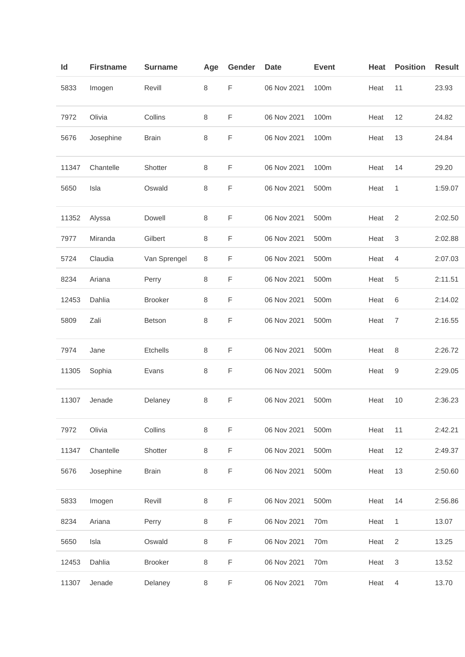| Id    | <b>Firstname</b> | <b>Surname</b> | Age | Gender      | <b>Date</b> | <b>Event</b>    | Heat | <b>Position</b>           | <b>Result</b> |
|-------|------------------|----------------|-----|-------------|-------------|-----------------|------|---------------------------|---------------|
| 5833  | Imogen           | Revill         | 8   | F           | 06 Nov 2021 | 100m            | Heat | 11                        | 23.93         |
| 7972  | Olivia           | Collins        | 8   | F           | 06 Nov 2021 | 100m            | Heat | 12                        | 24.82         |
| 5676  | Josephine        | <b>Brain</b>   | 8   | F           | 06 Nov 2021 | 100m            | Heat | 13                        | 24.84         |
| 11347 | Chantelle        | Shotter        | 8   | F           | 06 Nov 2021 | 100m            | Heat | 14                        | 29.20         |
| 5650  | Isla             | Oswald         | 8   | F           | 06 Nov 2021 | 500m            | Heat | 1                         | 1:59.07       |
| 11352 | Alyssa           | Dowell         | 8   | F           | 06 Nov 2021 | 500m            | Heat | $\overline{2}$            | 2:02.50       |
| 7977  | Miranda          | Gilbert        | 8   | F           | 06 Nov 2021 | 500m            | Heat | $\sqrt{3}$                | 2:02.88       |
| 5724  | Claudia          | Van Sprengel   | 8   | F           | 06 Nov 2021 | 500m            | Heat | 4                         | 2:07.03       |
| 8234  | Ariana           | Perry          | 8   | F           | 06 Nov 2021 | 500m            | Heat | 5                         | 2:11.51       |
| 12453 | Dahlia           | <b>Brooker</b> | 8   | F           | 06 Nov 2021 | 500m            | Heat | 6                         | 2:14.02       |
| 5809  | Zali             | Betson         | 8   | F           | 06 Nov 2021 | 500m            | Heat | $\overline{7}$            | 2:16.55       |
| 7974  | Jane             | Etchells       | 8   | F           | 06 Nov 2021 | 500m            | Heat | 8                         | 2:26.72       |
| 11305 | Sophia           | Evans          | 8   | F           | 06 Nov 2021 | 500m            | Heat | 9                         | 2:29.05       |
| 11307 | Jenade           | Delaney        | 8   | F           | 06 Nov 2021 | 500m            | Heat | 10                        | 2:36.23       |
| 7972  | Olivia           | Collins        | 8   | $\mathsf F$ | 06 Nov 2021 | 500m            | Heat | 11                        | 2:42.21       |
| 11347 | Chantelle        | Shotter        | 8   | F           | 06 Nov 2021 | 500m            | Heat | 12                        | 2:49.37       |
| 5676  | Josephine        | <b>Brain</b>   | 8   | $\mathsf F$ | 06 Nov 2021 | 500m            | Heat | 13                        | 2:50.60       |
| 5833  | Imogen           | Revill         | 8   | F           | 06 Nov 2021 | 500m            | Heat | 14                        | 2:56.86       |
| 8234  | Ariana           | Perry          | 8   | F           | 06 Nov 2021 | 70m             | Heat | 1                         | 13.07         |
| 5650  | Isla             | Oswald         | 8   | F           | 06 Nov 2021 | 70 <sub>m</sub> | Heat | $\overline{2}$            | 13.25         |
| 12453 | Dahlia           | <b>Brooker</b> | 8   | F           | 06 Nov 2021 | 70m             | Heat | $\ensuremath{\mathsf{3}}$ | 13.52         |
| 11307 | Jenade           | Delaney        | 8   | F           | 06 Nov 2021 | 70 <sub>m</sub> | Heat | $\overline{4}$            | 13.70         |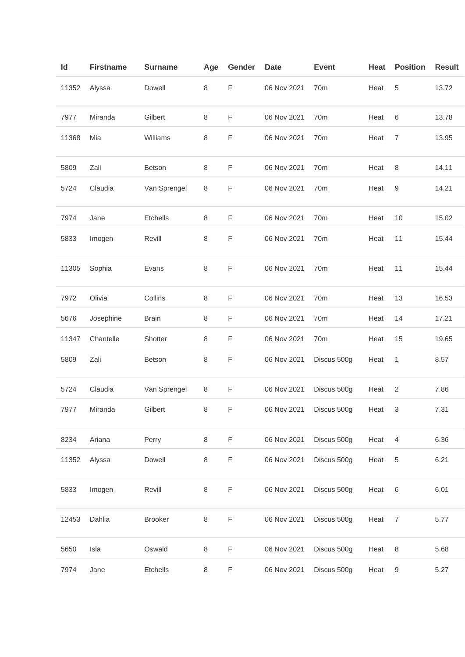| Id    | <b>Firstname</b> | <b>Surname</b> | Age     | Gender | <b>Date</b> | <b>Event</b>    | Heat | <b>Position</b>  | <b>Result</b> |
|-------|------------------|----------------|---------|--------|-------------|-----------------|------|------------------|---------------|
| 11352 | Alyssa           | Dowell         | 8       | F      | 06 Nov 2021 | 70 <sub>m</sub> | Heat | 5                | 13.72         |
| 7977  | Miranda          | Gilbert        | 8       | F      | 06 Nov 2021 | 70m             | Heat | 6                | 13.78         |
| 11368 | Mia              | Williams       | 8       | F      | 06 Nov 2021 | 70m             | Heat | $\overline{7}$   | 13.95         |
| 5809  | Zali             | Betson         | 8       | F      | 06 Nov 2021 | 70 <sub>m</sub> | Heat | 8                | 14.11         |
| 5724  | Claudia          | Van Sprengel   | 8       | F      | 06 Nov 2021 | 70m             | Heat | 9                | 14.21         |
| 7974  | Jane             | Etchells       | 8       | F      | 06 Nov 2021 | 70m             | Heat | 10               | 15.02         |
| 5833  | Imogen           | Revill         | 8       | F      | 06 Nov 2021 | 70m             | Heat | 11               | 15.44         |
| 11305 | Sophia           | Evans          | 8       | F      | 06 Nov 2021 | 70m             | Heat | 11               | 15.44         |
| 7972  | Olivia           | Collins        | 8       | F      | 06 Nov 2021 | 70 <sub>m</sub> | Heat | 13               | 16.53         |
| 5676  | Josephine        | <b>Brain</b>   | 8       | F      | 06 Nov 2021 | 70 <sub>m</sub> | Heat | 14               | 17.21         |
| 11347 | Chantelle        | Shotter        | 8       | F      | 06 Nov 2021 | 70 <sub>m</sub> | Heat | 15               | 19.65         |
| 5809  | Zali             | Betson         | 8       | F      | 06 Nov 2021 | Discus 500g     | Heat | 1                | 8.57          |
| 5724  | Claudia          | Van Sprengel   | 8       | F      | 06 Nov 2021 | Discus 500g     | Heat | $\overline{2}$   | 7.86          |
| 7977  | Miranda          | Gilbert        | 8       | F      | 06 Nov 2021 | Discus 500g     | Heat | 3                | 7.31          |
| 8234  | Ariana           | Perry          | 8       | F      | 06 Nov 2021 | Discus 500g     | Heat | $\overline{4}$   | 6.36          |
| 11352 | Alyssa           | Dowell         | 8       | F      | 06 Nov 2021 | Discus 500g     | Heat | $\sqrt{5}$       | 6.21          |
| 5833  | Imogen           | Revill         | $\,8\,$ | F      | 06 Nov 2021 | Discus 500g     | Heat | $6\,$            | 6.01          |
| 12453 | Dahlia           | <b>Brooker</b> | 8       | F      | 06 Nov 2021 | Discus 500g     | Heat | $\overline{7}$   | 5.77          |
| 5650  | Isla             | Oswald         | 8       | F      | 06 Nov 2021 | Discus 500g     | Heat | 8                | 5.68          |
| 7974  | Jane             | Etchells       | 8       | F      | 06 Nov 2021 | Discus 500g     | Heat | $\boldsymbol{9}$ | 5.27          |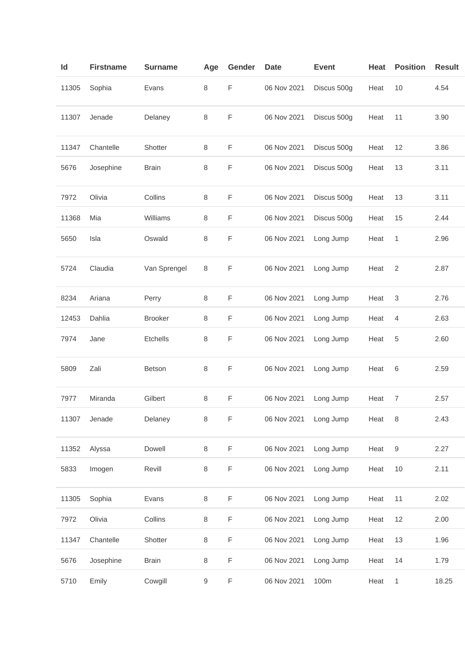| Id    | <b>Firstname</b> | <b>Surname</b> | Age | Gender | <b>Date</b> | <b>Event</b> | Heat | <b>Position</b> | <b>Result</b> |
|-------|------------------|----------------|-----|--------|-------------|--------------|------|-----------------|---------------|
| 11305 | Sophia           | Evans          | 8   | F      | 06 Nov 2021 | Discus 500g  | Heat | 10              | 4.54          |
| 11307 | Jenade           | Delaney        | 8   | F      | 06 Nov 2021 | Discus 500g  | Heat | 11              | 3.90          |
| 11347 | Chantelle        | Shotter        | 8   | F      | 06 Nov 2021 | Discus 500g  | Heat | 12              | 3.86          |
| 5676  | Josephine        | <b>Brain</b>   | 8   | F      | 06 Nov 2021 | Discus 500g  | Heat | 13              | 3.11          |
| 7972  | Olivia           | Collins        | 8   | F      | 06 Nov 2021 | Discus 500g  | Heat | 13              | 3.11          |
| 11368 | Mia              | Williams       | 8   | F      | 06 Nov 2021 | Discus 500g  | Heat | 15              | 2.44          |
| 5650  | Isla             | Oswald         | 8   | F      | 06 Nov 2021 | Long Jump    | Heat | 1               | 2.96          |
| 5724  | Claudia          | Van Sprengel   | 8   | F      | 06 Nov 2021 | Long Jump    | Heat | 2               | 2.87          |
| 8234  | Ariana           | Perry          | 8   | F      | 06 Nov 2021 | Long Jump    | Heat | 3               | 2.76          |
| 12453 | Dahlia           | <b>Brooker</b> | 8   | F      | 06 Nov 2021 | Long Jump    | Heat | 4               | 2.63          |
| 7974  | Jane             | Etchells       | 8   | F      | 06 Nov 2021 | Long Jump    | Heat | 5               | 2.60          |
| 5809  | Zali             | Betson         | 8   | F      | 06 Nov 2021 | Long Jump    | Heat | 6               | 2.59          |
| 7977  | Miranda          | Gilbert        | 8   | F      | 06 Nov 2021 | Long Jump    | Heat | $\overline{7}$  | 2.57          |
| 11307 | Jenade           | Delaney        | 8   | F      | 06 Nov 2021 | Long Jump    | Heat | 8               | 2.43          |
| 11352 | Alyssa           | Dowell         | 8   | F      | 06 Nov 2021 | Long Jump    | Heat | 9               | 2.27          |
| 5833  | Imogen           | Revill         | 8   | F      | 06 Nov 2021 | Long Jump    | Heat | 10              | 2.11          |
| 11305 | Sophia           | Evans          | 8   | F      | 06 Nov 2021 | Long Jump    | Heat | 11              | 2.02          |
| 7972  | Olivia           | Collins        | 8   | F      | 06 Nov 2021 | Long Jump    | Heat | 12              | 2.00          |
| 11347 | Chantelle        | Shotter        | 8   | F      | 06 Nov 2021 | Long Jump    | Heat | 13              | 1.96          |
| 5676  | Josephine        | <b>Brain</b>   | 8   | F      | 06 Nov 2021 | Long Jump    | Heat | 14              | 1.79          |
| 5710  | Emily            | Cowgill        | 9   | F      | 06 Nov 2021 | 100m         | Heat | 1               | 18.25         |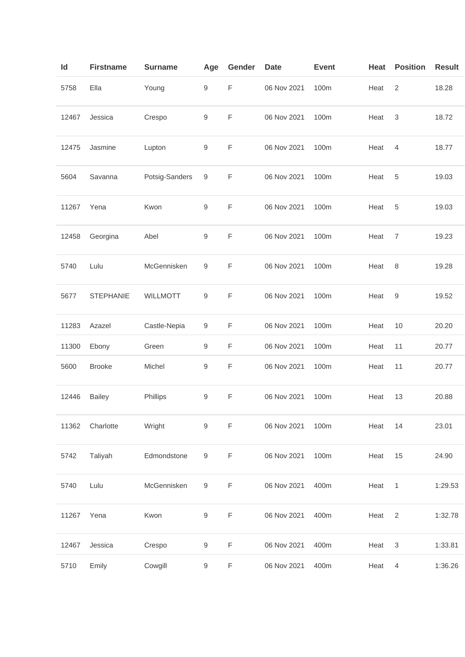| ld    | <b>Firstname</b> | <b>Surname</b>  | Age              | Gender      | <b>Date</b> | <b>Event</b> | Heat | <b>Position</b> | <b>Result</b> |
|-------|------------------|-----------------|------------------|-------------|-------------|--------------|------|-----------------|---------------|
| 5758  | Ella             | Young           | $\boldsymbol{9}$ | F           | 06 Nov 2021 | 100m         | Heat | $\overline{2}$  | 18.28         |
| 12467 | Jessica          | Crespo          | $\boldsymbol{9}$ | F           | 06 Nov 2021 | 100m         | Heat | 3               | 18.72         |
| 12475 | Jasmine          | Lupton          | $\boldsymbol{9}$ | F           | 06 Nov 2021 | 100m         | Heat | 4               | 18.77         |
| 5604  | Savanna          | Potsig-Sanders  | 9                | F           | 06 Nov 2021 | 100m         | Heat | 5               | 19.03         |
| 11267 | Yena             | Kwon            | 9                | F           | 06 Nov 2021 | 100m         | Heat | 5               | 19.03         |
| 12458 | Georgina         | Abel            | 9                | F           | 06 Nov 2021 | 100m         | Heat | 7               | 19.23         |
| 5740  | Lulu             | McGennisken     | $\boldsymbol{9}$ | F           | 06 Nov 2021 | 100m         | Heat | 8               | 19.28         |
| 5677  | <b>STEPHANIE</b> | <b>WILLMOTT</b> | 9                | F           | 06 Nov 2021 | 100m         | Heat | 9               | 19.52         |
| 11283 | Azazel           | Castle-Nepia    | 9                | F           | 06 Nov 2021 | 100m         | Heat | 10              | 20.20         |
| 11300 | Ebony            | Green           | $\boldsymbol{9}$ | F           | 06 Nov 2021 | 100m         | Heat | 11              | 20.77         |
| 5600  | <b>Brooke</b>    | Michel          | 9                | F           | 06 Nov 2021 | 100m         | Heat | 11              | 20.77         |
| 12446 | <b>Bailey</b>    | Phillips        | 9                | F           | 06 Nov 2021 | 100m         | Heat | 13              | 20.88         |
| 11362 | Charlotte        | Wright          | $\boldsymbol{9}$ | $\mathsf F$ | 06 Nov 2021 | 100m         | Heat | 14              | 23.01         |
| 5742  | Taliyah          | Edmondstone     | $\boldsymbol{9}$ | F           | 06 Nov 2021 | 100m         | Heat | 15              | 24.90         |
| 5740  | Lulu             | McGennisken     | 9                | F           | 06 Nov 2021 | 400m         | Heat | 1               | 1:29.53       |
| 11267 | Yena             | Kwon            | 9                | F           | 06 Nov 2021 | 400m         | Heat | $\overline{2}$  | 1:32.78       |
| 12467 | Jessica          | Crespo          | 9                | F           | 06 Nov 2021 | 400m         | Heat | 3               | 1:33.81       |
| 5710  | Emily            | Cowgill         | 9                | F           | 06 Nov 2021 | 400m         | Heat | $\overline{4}$  | 1:36.26       |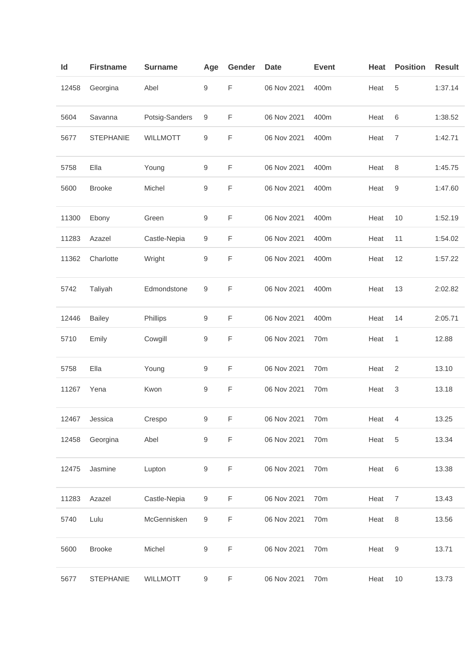| Id    | <b>Firstname</b> | <b>Surname</b>  | Age              | Gender | <b>Date</b> | <b>Event</b> | Heat | <b>Position</b> | <b>Result</b> |
|-------|------------------|-----------------|------------------|--------|-------------|--------------|------|-----------------|---------------|
| 12458 | Georgina         | Abel            | 9                | F      | 06 Nov 2021 | 400m         | Heat | 5               | 1:37.14       |
| 5604  | Savanna          | Potsig-Sanders  | 9                | F      | 06 Nov 2021 | 400m         | Heat | 6               | 1:38.52       |
| 5677  | <b>STEPHANIE</b> | <b>WILLMOTT</b> | 9                | F      | 06 Nov 2021 | 400m         | Heat | $\overline{7}$  | 1:42.71       |
| 5758  | Ella             | Young           | $\boldsymbol{9}$ | F      | 06 Nov 2021 | 400m         | Heat | 8               | 1:45.75       |
| 5600  | <b>Brooke</b>    | Michel          | 9                | F      | 06 Nov 2021 | 400m         | Heat | 9               | 1:47.60       |
| 11300 | Ebony            | Green           | 9                | F      | 06 Nov 2021 | 400m         | Heat | 10              | 1:52.19       |
| 11283 | Azazel           | Castle-Nepia    | 9                | F      | 06 Nov 2021 | 400m         | Heat | 11              | 1:54.02       |
| 11362 | Charlotte        | Wright          | 9                | F      | 06 Nov 2021 | 400m         | Heat | 12              | 1:57.22       |
| 5742  | Taliyah          | Edmondstone     | 9                | F      | 06 Nov 2021 | 400m         | Heat | 13              | 2:02.82       |
| 12446 | <b>Bailey</b>    | Phillips        | 9                | F      | 06 Nov 2021 | 400m         | Heat | 14              | 2:05.71       |
| 5710  | Emily            | Cowgill         | 9                | F      | 06 Nov 2021 | 70m          | Heat | 1               | 12.88         |
| 5758  | Ella             | Young           | 9                | F      | 06 Nov 2021 | 70m          | Heat | $\overline{2}$  | 13.10         |
| 11267 | Yena             | Kwon            | 9                | F      | 06 Nov 2021 | 70m          | Heat | 3               | 13.18         |
| 12467 | Jessica          | Crespo          | 9                | F      | 06 Nov 2021 | 70m          | Heat | 4               | 13.25         |
| 12458 | Georgina         | Abel            | 9                | F      | 06 Nov 2021 | 70m          | Heat | 5               | 13.34         |
| 12475 | Jasmine          | Lupton          | 9                | F      | 06 Nov 2021 | 70m          | Heat | $\,6\,$         | 13.38         |
| 11283 | Azazel           | Castle-Nepia    | 9                | F      | 06 Nov 2021 | 70m          | Heat | $\overline{7}$  | 13.43         |
| 5740  | Lulu             | McGennisken     | $\boldsymbol{9}$ | F      | 06 Nov 2021 | 70m          | Heat | 8               | 13.56         |
| 5600  | <b>Brooke</b>    | Michel          | 9                | F      | 06 Nov 2021 | 70m          | Heat | 9               | 13.71         |
| 5677  | <b>STEPHANIE</b> | <b>WILLMOTT</b> | $\boldsymbol{9}$ | F      | 06 Nov 2021 | 70m          | Heat | 10              | 13.73         |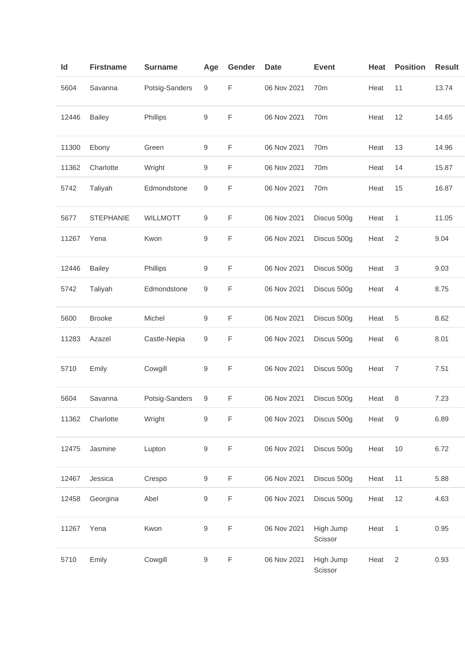| Id    | <b>Firstname</b> | <b>Surname</b>  | Age | Gender | <b>Date</b> | <b>Event</b>         | Heat | <b>Position</b> | <b>Result</b> |
|-------|------------------|-----------------|-----|--------|-------------|----------------------|------|-----------------|---------------|
| 5604  | Savanna          | Potsig-Sanders  | 9   | F      | 06 Nov 2021 | 70m                  | Heat | 11              | 13.74         |
| 12446 | <b>Bailey</b>    | Phillips        | 9   | F      | 06 Nov 2021 | 70m                  | Heat | 12              | 14.65         |
| 11300 | Ebony            | Green           | 9   | F      | 06 Nov 2021 | 70m                  | Heat | 13              | 14.96         |
| 11362 | Charlotte        | Wright          | 9   | F      | 06 Nov 2021 | 70 <sub>m</sub>      | Heat | 14              | 15.87         |
| 5742  | Taliyah          | Edmondstone     | 9   | F      | 06 Nov 2021 | 70 <sub>m</sub>      | Heat | 15              | 16.87         |
| 5677  | <b>STEPHANIE</b> | <b>WILLMOTT</b> | 9   | F      | 06 Nov 2021 | Discus 500g          | Heat | 1               | 11.05         |
| 11267 | Yena             | Kwon            | 9   | F      | 06 Nov 2021 | Discus 500g          | Heat | $\overline{2}$  | 9.04          |
| 12446 | <b>Bailey</b>    | Phillips        | 9   | F      | 06 Nov 2021 | Discus 500g          | Heat | 3               | 9.03          |
| 5742  | Taliyah          | Edmondstone     | 9   | F      | 06 Nov 2021 | Discus 500g          | Heat | 4               | 8.75          |
| 5600  | <b>Brooke</b>    | Michel          | 9   | F      | 06 Nov 2021 | Discus 500g          | Heat | 5               | 8.62          |
| 11283 | Azazel           | Castle-Nepia    | 9   | F      | 06 Nov 2021 | Discus 500g          | Heat | 6               | 8.01          |
| 5710  | Emily            | Cowgill         | 9   | F      | 06 Nov 2021 | Discus 500g          | Heat | 7               | 7.51          |
| 5604  | Savanna          | Potsig-Sanders  | 9   | F      | 06 Nov 2021 | Discus 500g          | Heat | 8               | 7.23          |
| 11362 | Charlotte        | Wright          | 9   | F      | 06 Nov 2021 | Discus 500g          | Heat | 9               | 6.89          |
| 12475 | Jasmine          | Lupton          | 9   | F      | 06 Nov 2021 | Discus 500g          | Heat | 10              | 6.72          |
| 12467 | Jessica          | Crespo          | 9   | F      | 06 Nov 2021 | Discus 500g          | Heat | 11              | 5.88          |
| 12458 | Georgina         | Abel            | 9   | F      | 06 Nov 2021 | Discus 500g          | Heat | 12              | 4.63          |
| 11267 | Yena             | Kwon            | 9   | F      | 06 Nov 2021 | High Jump<br>Scissor | Heat | $\mathbf{1}$    | 0.95          |
| 5710  | Emily            | Cowgill         | 9   | F      | 06 Nov 2021 | High Jump<br>Scissor | Heat | $\overline{2}$  | 0.93          |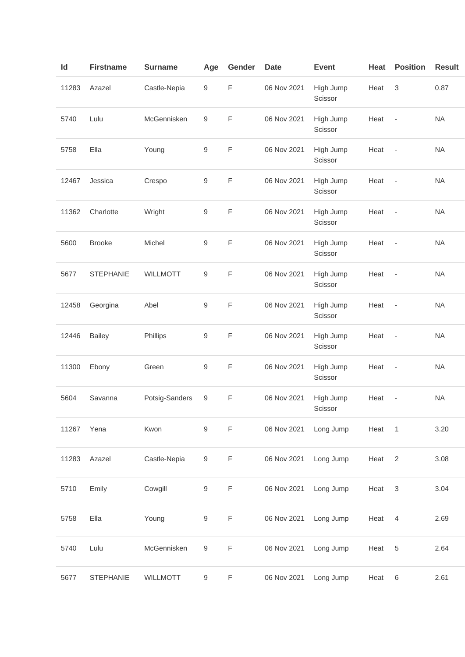| Id    | <b>Firstname</b> | <b>Surname</b>  | Age              | Gender      | <b>Date</b> | <b>Event</b>         | Heat | <b>Position</b>              | <b>Result</b> |
|-------|------------------|-----------------|------------------|-------------|-------------|----------------------|------|------------------------------|---------------|
| 11283 | Azazel           | Castle-Nepia    | $\boldsymbol{9}$ | F           | 06 Nov 2021 | High Jump<br>Scissor | Heat | 3                            | 0.87          |
| 5740  | Lulu             | McGennisken     | 9                | F           | 06 Nov 2021 | High Jump<br>Scissor | Heat | $\overline{\phantom{a}}$     | <b>NA</b>     |
| 5758  | Ella             | Young           | $\boldsymbol{9}$ | F           | 06 Nov 2021 | High Jump<br>Scissor | Heat | $\overline{\phantom{a}}$     | <b>NA</b>     |
| 12467 | Jessica          | Crespo          | 9                | F           | 06 Nov 2021 | High Jump<br>Scissor | Heat | $\overline{\phantom{a}}$     | <b>NA</b>     |
| 11362 | Charlotte        | Wright          | $\boldsymbol{9}$ | $\mathsf F$ | 06 Nov 2021 | High Jump<br>Scissor | Heat | $\blacksquare$               | <b>NA</b>     |
| 5600  | <b>Brooke</b>    | Michel          | 9                | F           | 06 Nov 2021 | High Jump<br>Scissor | Heat | $\overline{\phantom{a}}$     | <b>NA</b>     |
| 5677  | <b>STEPHANIE</b> | <b>WILLMOTT</b> | 9                | F           | 06 Nov 2021 | High Jump<br>Scissor | Heat | $\overline{\phantom{a}}$     | <b>NA</b>     |
| 12458 | Georgina         | Abel            | $\boldsymbol{9}$ | F           | 06 Nov 2021 | High Jump<br>Scissor | Heat | $\overline{\phantom{a}}$     | <b>NA</b>     |
| 12446 | <b>Bailey</b>    | Phillips        | 9                | $\mathsf F$ | 06 Nov 2021 | High Jump<br>Scissor | Heat | $\overline{\phantom{a}}$     | <b>NA</b>     |
| 11300 | Ebony            | Green           | 9                | F           | 06 Nov 2021 | High Jump<br>Scissor | Heat | $\qquad \qquad \blacksquare$ | <b>NA</b>     |
| 5604  | Savanna          | Potsig-Sanders  | 9                | F           | 06 Nov 2021 | High Jump<br>Scissor | Heat |                              | <b>NA</b>     |
| 11267 | Yena             | Kwon            | $\boldsymbol{9}$ | F           | 06 Nov 2021 | Long Jump            | Heat | $\mathbf{1}$                 | 3.20          |
| 11283 | Azazel           | Castle-Nepia    | $\boldsymbol{9}$ | F           | 06 Nov 2021 | Long Jump            | Heat | 2                            | 3.08          |
| 5710  | Emily            | Cowgill         | $\boldsymbol{9}$ | F           | 06 Nov 2021 | Long Jump            | Heat | 3                            | 3.04          |
| 5758  | Ella             | Young           | $\boldsymbol{9}$ | F           | 06 Nov 2021 | Long Jump            | Heat | $\overline{4}$               | 2.69          |
| 5740  | Lulu             | McGennisken     | $\boldsymbol{9}$ | F           | 06 Nov 2021 | Long Jump            | Heat | $\,$ 5 $\,$                  | 2.64          |
| 5677  | <b>STEPHANIE</b> | WILLMOTT        | 9                | F           | 06 Nov 2021 | Long Jump            | Heat | 6                            | 2.61          |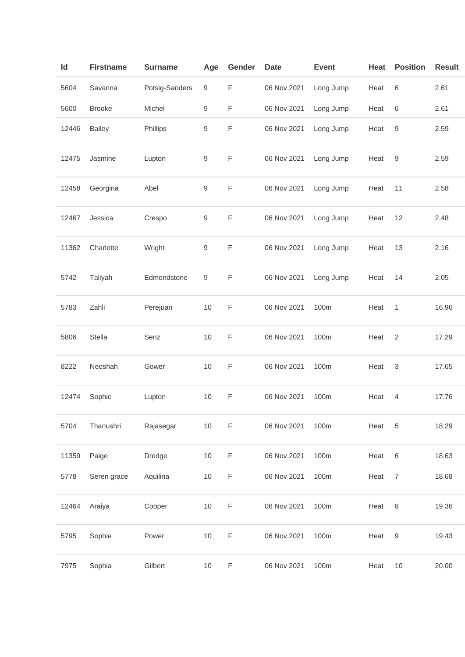| ld    | <b>Firstname</b> | <b>Surname</b> | Age              | Gender      | <b>Date</b> | <b>Event</b> | <b>Heat</b> | <b>Position</b>  | <b>Result</b> |
|-------|------------------|----------------|------------------|-------------|-------------|--------------|-------------|------------------|---------------|
| 5604  | Savanna          | Potsig-Sanders | 9                | F           | 06 Nov 2021 | Long Jump    | Heat        | $\,6\,$          | 2.61          |
| 5600  | <b>Brooke</b>    | Michel         | 9                | $\mathsf F$ | 06 Nov 2021 | Long Jump    | Heat        | 6                | 2.61          |
| 12446 | <b>Bailey</b>    | Phillips       | $\boldsymbol{9}$ | F           | 06 Nov 2021 | Long Jump    | Heat        | 9                | 2.59          |
| 12475 | Jasmine          | Lupton         | 9                | $\mathsf F$ | 06 Nov 2021 | Long Jump    | Heat        | 9                | 2.59          |
| 12458 | Georgina         | Abel           | 9                | $\mathsf F$ | 06 Nov 2021 | Long Jump    | Heat        | 11               | 2.58          |
| 12467 | Jessica          | Crespo         | 9                | F           | 06 Nov 2021 | Long Jump    | Heat        | 12               | 2.48          |
| 11362 | Charlotte        | Wright         | 9                | F           | 06 Nov 2021 | Long Jump    | Heat        | 13               | 2.16          |
| 5742  | Taliyah          | Edmondstone    | 9                | $\mathsf F$ | 06 Nov 2021 | Long Jump    | Heat        | 14               | 2.05          |
| 5783  | Zahli            | Perejuan       | $10$             | $\mathsf F$ | 06 Nov 2021 | 100m         | Heat        | 1                | 16.96         |
| 5806  | Stella           | Senz           | 10               | $\mathsf F$ | 06 Nov 2021 | 100m         | Heat        | 2                | 17.29         |
| 8222  | Neoshah          | Gower          | 10               | $\mathsf F$ | 06 Nov 2021 | 100m         | Heat        | 3                | 17.65         |
| 12474 | Sophie           | Lupton         | 10               | F           | 06 Nov 2021 | 100m         | Heat        | 4                | 17.76         |
| 5704  | Thanushri        | Rajasegar      | $10$             | $\mathsf F$ | 06 Nov 2021 | 100m         | Heat        | 5                | 18.29         |
| 11359 | Paige            | Dredge         | $10$             | F           | 06 Nov 2021 | 100m         | Heat        | 6                | 18.63         |
| 5778  | Seren grace      | Aquilina       | $10$             | F           | 06 Nov 2021 | 100m         | Heat        | $\overline{7}$   | 18.68         |
| 12464 | Araiya           | Cooper         | $10$             | F           | 06 Nov 2021 | 100m         | Heat        | 8                | 19.36         |
| 5795  | Sophie           | Power          | $10$             | F           | 06 Nov 2021 | 100m         | Heat        | $\boldsymbol{9}$ | 19.43         |
| 7975  | Sophia           | Gilbert        | $10$             | F           | 06 Nov 2021 | 100m         | Heat        | 10               | 20.00         |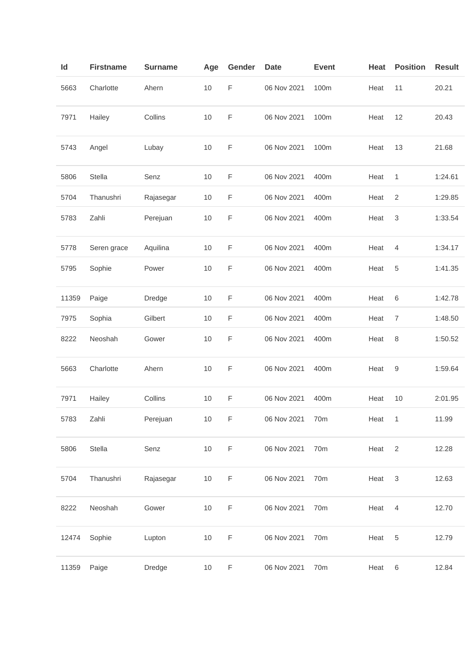| Id    | <b>Firstname</b> | <b>Surname</b> | Age  | Gender      | <b>Date</b> | <b>Event</b> | Heat | <b>Position</b>  | <b>Result</b> |
|-------|------------------|----------------|------|-------------|-------------|--------------|------|------------------|---------------|
| 5663  | Charlotte        | Ahern          | 10   | F           | 06 Nov 2021 | 100m         | Heat | 11               | 20.21         |
| 7971  | Hailey           | Collins        | 10   | F           | 06 Nov 2021 | 100m         | Heat | 12               | 20.43         |
| 5743  | Angel            | Lubay          | 10   | F           | 06 Nov 2021 | 100m         | Heat | 13               | 21.68         |
| 5806  | Stella           | Senz           | 10   | F           | 06 Nov 2021 | 400m         | Heat | 1                | 1:24.61       |
| 5704  | Thanushri        | Rajasegar      | 10   | F           | 06 Nov 2021 | 400m         | Heat | 2                | 1:29.85       |
| 5783  | Zahli            | Perejuan       | 10   | F           | 06 Nov 2021 | 400m         | Heat | 3                | 1:33.54       |
| 5778  | Seren grace      | Aquilina       | $10$ | F           | 06 Nov 2021 | 400m         | Heat | 4                | 1:34.17       |
| 5795  | Sophie           | Power          | 10   | F           | 06 Nov 2021 | 400m         | Heat | 5                | 1:41.35       |
| 11359 | Paige            | Dredge         | 10   | $\mathsf F$ | 06 Nov 2021 | 400m         | Heat | 6                | 1:42.78       |
| 7975  | Sophia           | Gilbert        | 10   | F           | 06 Nov 2021 | 400m         | Heat | $\boldsymbol{7}$ | 1:48.50       |
| 8222  | Neoshah          | Gower          | 10   | F           | 06 Nov 2021 | 400m         | Heat | 8                | 1:50.52       |
| 5663  | Charlotte        | Ahern          | 10   | F           | 06 Nov 2021 | 400m         | Heat | 9                | 1:59.64       |
| 7971  | Hailey           | Collins        | 10   | $\mathsf F$ | 06 Nov 2021 | 400m         | Heat | 10               | 2:01.95       |
| 5783  | Zahli            | Perejuan       | 10   | F           | 06 Nov 2021 | 70m          | Heat | 1                | 11.99         |
| 5806  | Stella           | Senz           | $10$ | $\mathsf F$ | 06 Nov 2021 | 70m          | Heat | $\overline{2}$   | 12.28         |
| 5704  | Thanushri        | Rajasegar      | $10$ | $\mathsf F$ | 06 Nov 2021 | 70m          | Heat | $\sqrt{3}$       | 12.63         |
| 8222  | Neoshah          | Gower          | $10$ | F           | 06 Nov 2021 | 70m          | Heat | $\overline{4}$   | 12.70         |
| 12474 | Sophie           | Lupton         | $10$ | $\mathsf F$ | 06 Nov 2021 | 70m          | Heat | 5                | 12.79         |
| 11359 | Paige            | Dredge         | $10$ | F           | 06 Nov 2021 | 70m          | Heat | $\,6\,$          | 12.84         |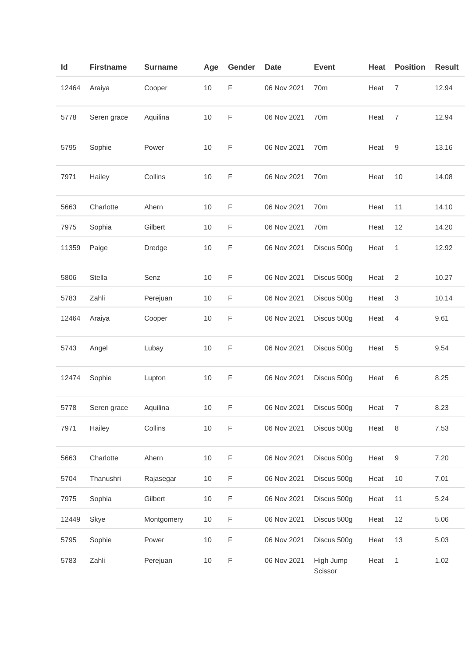| ld    | <b>Firstname</b> | <b>Surname</b> | Age  | Gender      | <b>Date</b> | <b>Event</b>         | Heat | <b>Position</b> | <b>Result</b> |
|-------|------------------|----------------|------|-------------|-------------|----------------------|------|-----------------|---------------|
| 12464 | Araiya           | Cooper         | $10$ | F           | 06 Nov 2021 | 70 <sub>m</sub>      | Heat | 7               | 12.94         |
| 5778  | Seren grace      | Aquilina       | 10   | F           | 06 Nov 2021 | 70m                  | Heat | $\overline{7}$  | 12.94         |
| 5795  | Sophie           | Power          | 10   | F           | 06 Nov 2021 | 70m                  | Heat | 9               | 13.16         |
| 7971  | Hailey           | Collins        | 10   | F           | 06 Nov 2021 | 70 <sub>m</sub>      | Heat | 10              | 14.08         |
| 5663  | Charlotte        | Ahern          | 10   | F           | 06 Nov 2021 | 70 <sub>m</sub>      | Heat | 11              | 14.10         |
| 7975  | Sophia           | Gilbert        | $10$ | F           | 06 Nov 2021 | 70 <sub>m</sub>      | Heat | 12              | 14.20         |
| 11359 | Paige            | Dredge         | $10$ | F           | 06 Nov 2021 | Discus 500g          | Heat | 1               | 12.92         |
| 5806  | Stella           | Senz           | 10   | F           | 06 Nov 2021 | Discus 500g          | Heat | 2               | 10.27         |
| 5783  | Zahli            | Perejuan       | 10   | F           | 06 Nov 2021 | Discus 500g          | Heat | 3               | 10.14         |
| 12464 | Araiya           | Cooper         | 10   | F           | 06 Nov 2021 | Discus 500g          | Heat | 4               | 9.61          |
| 5743  | Angel            | Lubay          | 10   | F           | 06 Nov 2021 | Discus 500g          | Heat | 5               | 9.54          |
| 12474 | Sophie           | Lupton         | $10$ | F           | 06 Nov 2021 | Discus 500g          | Heat | 6               | 8.25          |
| 5778  | Seren grace      | Aquilina       | 10   | F           | 06 Nov 2021 | Discus 500g          | Heat | 7               | 8.23          |
| 7971  | Hailey           | Collins        | $10$ | F           | 06 Nov 2021 | Discus 500g          | Heat | $\,8\,$         | 7.53          |
| 5663  | Charlotte        | Ahern          | $10$ | F           | 06 Nov 2021 | Discus 500g          | Heat | 9               | 7.20          |
| 5704  | Thanushri        | Rajasegar      | 10   | F           | 06 Nov 2021 | Discus 500g          | Heat | 10              | 7.01          |
| 7975  | Sophia           | Gilbert        | $10$ | F           | 06 Nov 2021 | Discus 500g          | Heat | 11              | 5.24          |
| 12449 | Skye             | Montgomery     | $10$ | $\mathsf F$ | 06 Nov 2021 | Discus 500g          | Heat | 12              | 5.06          |
| 5795  | Sophie           | Power          | $10$ | F           | 06 Nov 2021 | Discus 500g          | Heat | 13              | 5.03          |
| 5783  | Zahli            | Perejuan       | $10$ | $\mathsf F$ | 06 Nov 2021 | High Jump<br>Scissor | Heat | 1               | 1.02          |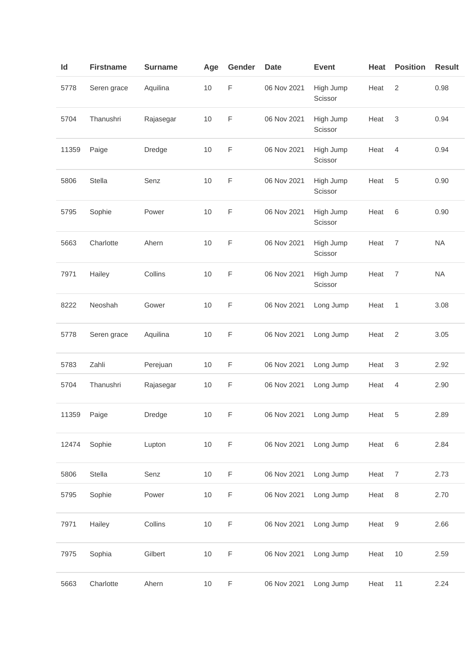| Id    | <b>Firstname</b> | <b>Surname</b> | Age  | Gender      | <b>Date</b> | <b>Event</b>         | Heat | <b>Position</b>  | <b>Result</b> |
|-------|------------------|----------------|------|-------------|-------------|----------------------|------|------------------|---------------|
| 5778  | Seren grace      | Aquilina       | $10$ | F           | 06 Nov 2021 | High Jump<br>Scissor | Heat | $\overline{2}$   | 0.98          |
| 5704  | Thanushri        | Rajasegar      | 10   | F           | 06 Nov 2021 | High Jump<br>Scissor | Heat | 3                | 0.94          |
| 11359 | Paige            | Dredge         | 10   | F           | 06 Nov 2021 | High Jump<br>Scissor | Heat | 4                | 0.94          |
| 5806  | Stella           | Senz           | 10   | F           | 06 Nov 2021 | High Jump<br>Scissor | Heat | 5                | 0.90          |
| 5795  | Sophie           | Power          | $10$ | $\mathsf F$ | 06 Nov 2021 | High Jump<br>Scissor | Heat | 6                | 0.90          |
| 5663  | Charlotte        | Ahern          | 10   | F           | 06 Nov 2021 | High Jump<br>Scissor | Heat | $\overline{7}$   | <b>NA</b>     |
| 7971  | Hailey           | Collins        | 10   | F           | 06 Nov 2021 | High Jump<br>Scissor | Heat | $\boldsymbol{7}$ | <b>NA</b>     |
| 8222  | Neoshah          | Gower          | 10   | F           | 06 Nov 2021 | Long Jump            | Heat | 1                | 3.08          |
| 5778  | Seren grace      | Aquilina       | 10   | F           | 06 Nov 2021 | Long Jump            | Heat | $\sqrt{2}$       | 3.05          |
| 5783  | Zahli            | Perejuan       | $10$ | F           | 06 Nov 2021 | Long Jump            | Heat | 3                | 2.92          |
| 5704  | Thanushri        | Rajasegar      | $10$ | F           | 06 Nov 2021 | Long Jump            | Heat | 4                | 2.90          |
| 11359 | Paige            | Dredge         | $10$ | $\mathsf F$ | 06 Nov 2021 | Long Jump            | Heat | 5                | 2.89          |
| 12474 | Sophie           | Lupton         | $10$ | F           | 06 Nov 2021 | Long Jump            | Heat | 6                | 2.84          |
| 5806  | Stella           | Senz           | $10$ | F           | 06 Nov 2021 | Long Jump            | Heat | $\boldsymbol{7}$ | 2.73          |
| 5795  | Sophie           | Power          | $10$ | F           | 06 Nov 2021 | Long Jump            | Heat | 8                | 2.70          |
| 7971  | Hailey           | Collins        | $10$ | F           | 06 Nov 2021 | Long Jump            | Heat | 9                | 2.66          |
| 7975  | Sophia           | Gilbert        | $10$ | F           | 06 Nov 2021 | Long Jump            | Heat | $10$             | 2.59          |
| 5663  | Charlotte        | Ahern          | $10$ | F           | 06 Nov 2021 | Long Jump            | Heat | 11               | 2.24          |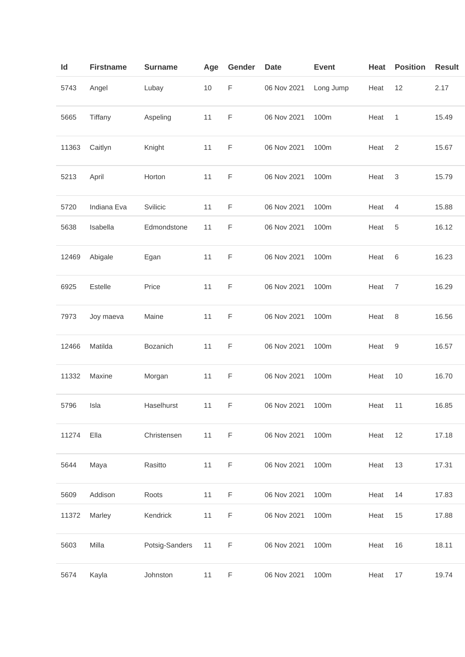| ld    | <b>Firstname</b> | <b>Surname</b> | Age  | Gender      | <b>Date</b> | <b>Event</b> | Heat | <b>Position</b> | <b>Result</b> |
|-------|------------------|----------------|------|-------------|-------------|--------------|------|-----------------|---------------|
| 5743  | Angel            | Lubay          | $10$ | F           | 06 Nov 2021 | Long Jump    | Heat | 12              | 2.17          |
| 5665  | Tiffany          | Aspeling       | 11   | F           | 06 Nov 2021 | 100m         | Heat | 1               | 15.49         |
| 11363 | Caitlyn          | Knight         | 11   | F           | 06 Nov 2021 | 100m         | Heat | 2               | 15.67         |
| 5213  | April            | Horton         | 11   | F           | 06 Nov 2021 | 100m         | Heat | 3               | 15.79         |
| 5720  | Indiana Eva      | Svilicic       | 11   | F           | 06 Nov 2021 | 100m         | Heat | $\overline{4}$  | 15.88         |
| 5638  | Isabella         | Edmondstone    | 11   | F           | 06 Nov 2021 | 100m         | Heat | 5               | 16.12         |
| 12469 | Abigale          | Egan           | 11   | F           | 06 Nov 2021 | 100m         | Heat | 6               | 16.23         |
| 6925  | Estelle          | Price          | 11   | F           | 06 Nov 2021 | 100m         | Heat | $\overline{7}$  | 16.29         |
| 7973  | Joy maeva        | Maine          | 11   | F           | 06 Nov 2021 | 100m         | Heat | 8               | 16.56         |
| 12466 | Matilda          | Bozanich       | 11   | F           | 06 Nov 2021 | 100m         | Heat | 9               | 16.57         |
| 11332 | Maxine           | Morgan         | 11   | F           | 06 Nov 2021 | 100m         | Heat | 10              | 16.70         |
| 5796  | Isla             | Haselhurst     | 11   | F           | 06 Nov 2021 | 100m         | Heat | 11              | 16.85         |
| 11274 | Ella             | Christensen    | 11   | $\mathsf F$ | 06 Nov 2021 | 100m         | Heat | 12              | 17.18         |
| 5644  | Maya             | Rasitto        | 11   | F           | 06 Nov 2021 | 100m         | Heat | 13              | 17.31         |
| 5609  | Addison          | Roots          | 11   | F           | 06 Nov 2021 | 100m         | Heat | 14              | 17.83         |
| 11372 | Marley           | Kendrick       | 11   | F           | 06 Nov 2021 | 100m         | Heat | 15              | 17.88         |
| 5603  | Milla            | Potsig-Sanders | 11   | F           | 06 Nov 2021 | 100m         | Heat | 16              | 18.11         |
| 5674  | Kayla            | Johnston       | 11   | F           | 06 Nov 2021 | 100m         | Heat | 17              | 19.74         |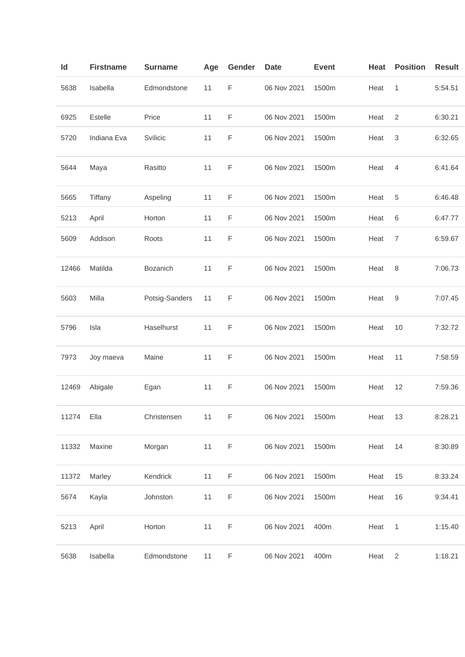| $\mathsf{Id}$ | <b>Firstname</b> | <b>Surname</b> | Age | Gender      | <b>Date</b> | <b>Event</b> | Heat | <b>Position</b>  | <b>Result</b> |
|---------------|------------------|----------------|-----|-------------|-------------|--------------|------|------------------|---------------|
| 5638          | Isabella         | Edmondstone    | 11  | $\mathsf F$ | 06 Nov 2021 | 1500m        | Heat | 1                | 5:54.51       |
| 6925          | Estelle          | Price          | 11  | $\mathsf F$ | 06 Nov 2021 | 1500m        | Heat | $\overline{2}$   | 6:30.21       |
| 5720          | Indiana Eva      | Svilicic       | 11  | F           | 06 Nov 2021 | 1500m        | Heat | 3                | 6:32.65       |
| 5644          | Maya             | Rasitto        | 11  | $\mathsf F$ | 06 Nov 2021 | 1500m        | Heat | 4                | 6:41.64       |
| 5665          | Tiffany          | Aspeling       | 11  | F           | 06 Nov 2021 | 1500m        | Heat | 5                | 6:46.48       |
| 5213          | April            | Horton         | 11  | F           | 06 Nov 2021 | 1500m        | Heat | $\,6$            | 6:47.77       |
| 5609          | Addison          | Roots          | 11  | F           | 06 Nov 2021 | 1500m        | Heat | $\boldsymbol{7}$ | 6:59.67       |
| 12466         | Matilda          | Bozanich       | 11  | F           | 06 Nov 2021 | 1500m        | Heat | 8                | 7:06.73       |
| 5603          | Milla            | Potsig-Sanders | 11  | $\mathsf F$ | 06 Nov 2021 | 1500m        | Heat | 9                | 7:07.45       |
| 5796          | Isla             | Haselhurst     | 11  | $\mathsf F$ | 06 Nov 2021 | 1500m        | Heat | 10               | 7:32.72       |
| 7973          | Joy maeva        | Maine          | 11  | F           | 06 Nov 2021 | 1500m        | Heat | 11               | 7:58.59       |
| 12469         | Abigale          | Egan           | 11  | F           | 06 Nov 2021 | 1500m        | Heat | 12               | 7:59.36       |
| 11274         | Ella             | Christensen    | 11  | F           | 06 Nov 2021 | 1500m        | Heat | 13               | 8:28.21       |
| 11332         | Maxine           | Morgan         | 11  | F           | 06 Nov 2021 | 1500m        | Heat | 14               | 8:30.89       |
| 11372         | Marley           | Kendrick       | 11  | F           | 06 Nov 2021 | 1500m        | Heat | 15               | 8:33.24       |
| 5674          | Kayla            | Johnston       | 11  | F           | 06 Nov 2021 | 1500m        | Heat | 16               | 9:34.41       |
| 5213          | April            | Horton         | 11  | $\mathsf F$ | 06 Nov 2021 | 400m         | Heat | 1                | 1:15.40       |
| 5638          | Isabella         | Edmondstone    | 11  | F           | 06 Nov 2021 | 400m         | Heat | $\overline{c}$   | 1:18.21       |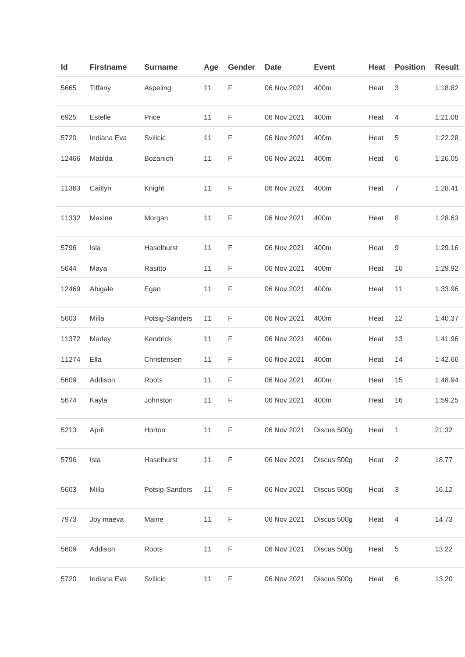| Id    | <b>Firstname</b> | <b>Surname</b> | Age | Gender | <b>Date</b> | <b>Event</b> | Heat | <b>Position</b> | <b>Result</b> |
|-------|------------------|----------------|-----|--------|-------------|--------------|------|-----------------|---------------|
| 5665  | Tiffany          | Aspeling       | 11  | F      | 06 Nov 2021 | 400m         | Heat | 3               | 1:18.82       |
| 6925  | Estelle          | Price          | 11  | F      | 06 Nov 2021 | 400m         | Heat | 4               | 1:21.08       |
| 5720  | Indiana Eva      | Svilicic       | 11  | F      | 06 Nov 2021 | 400m         | Heat | 5               | 1:22.28       |
| 12466 | Matilda          | Bozanich       | 11  | F      | 06 Nov 2021 | 400m         | Heat | 6               | 1:26.05       |
| 11363 | Caitlyn          | Knight         | 11  | F      | 06 Nov 2021 | 400m         | Heat | $\overline{7}$  | 1:28.41       |
| 11332 | Maxine           | Morgan         | 11  | F      | 06 Nov 2021 | 400m         | Heat | 8               | 1:28.63       |
| 5796  | Isla             | Haselhurst     | 11  | F      | 06 Nov 2021 | 400m         | Heat | 9               | 1:29.16       |
| 5644  | Maya             | Rasitto        | 11  | F      | 06 Nov 2021 | 400m         | Heat | $10$            | 1:29.92       |
| 12469 | Abigale          | Egan           | 11  | F      | 06 Nov 2021 | 400m         | Heat | 11              | 1:33.96       |
| 5603  | Milla            | Potsig-Sanders | 11  | F      | 06 Nov 2021 | 400m         | Heat | 12              | 1:40.37       |
| 11372 | Marley           | Kendrick       | 11  | F      | 06 Nov 2021 | 400m         | Heat | 13              | 1:41.96       |
| 11274 | Ella             | Christensen    | 11  | F      | 06 Nov 2021 | 400m         | Heat | 14              | 1:42.66       |
| 5609  | Addison          | Roots          | 11  | F      | 06 Nov 2021 | 400m         | Heat | 15              | 1:48.94       |
| 5674  | Kayla            | Johnston       | 11  | F      | 06 Nov 2021 | 400m         | Heat | 16              | 1:59.25       |
| 5213  | April            | Horton         | 11  | F      | 06 Nov 2021 | Discus 500g  | Heat | $\mathbf{1}$    | 21.32         |
| 5796  | Isla             | Haselhurst     | 11  | F      | 06 Nov 2021 | Discus 500g  | Heat | 2               | 18.77         |
| 5603  | Milla            | Potsig-Sanders | 11  | F      | 06 Nov 2021 | Discus 500g  | Heat | $\mathsf 3$     | 16.12         |
| 7973  | Joy maeva        | Maine          | 11  | F      | 06 Nov 2021 | Discus 500g  | Heat | 4               | 14.73         |
| 5609  | Addison          | Roots          | 11  | F      | 06 Nov 2021 | Discus 500g  | Heat | 5               | 13.22         |
| 5720  | Indiana Eva      | Svilicic       | 11  | F      | 06 Nov 2021 | Discus 500g  | Heat | $\,6$           | 13.20         |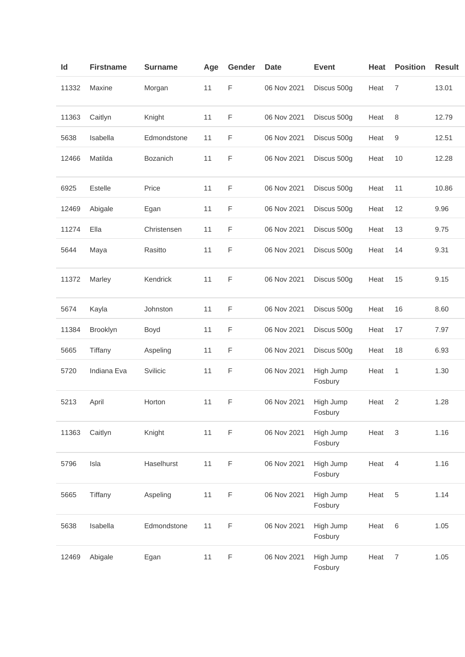| ld    | <b>Firstname</b> | <b>Surname</b> | Age | Gender | <b>Date</b> | <b>Event</b>         | Heat | <b>Position</b> | <b>Result</b> |
|-------|------------------|----------------|-----|--------|-------------|----------------------|------|-----------------|---------------|
| 11332 | Maxine           | Morgan         | 11  | F      | 06 Nov 2021 | Discus 500g          | Heat | 7               | 13.01         |
| 11363 | Caitlyn          | Knight         | 11  | F      | 06 Nov 2021 | Discus 500g          | Heat | 8               | 12.79         |
| 5638  | Isabella         | Edmondstone    | 11  | F      | 06 Nov 2021 | Discus 500g          | Heat | 9               | 12.51         |
| 12466 | Matilda          | Bozanich       | 11  | F      | 06 Nov 2021 | Discus 500g          | Heat | 10              | 12.28         |
| 6925  | Estelle          | Price          | 11  | F      | 06 Nov 2021 | Discus 500g          | Heat | 11              | 10.86         |
| 12469 | Abigale          | Egan           | 11  | F      | 06 Nov 2021 | Discus 500g          | Heat | 12              | 9.96          |
| 11274 | Ella             | Christensen    | 11  | F      | 06 Nov 2021 | Discus 500g          | Heat | 13              | 9.75          |
| 5644  | Maya             | Rasitto        | 11  | F      | 06 Nov 2021 | Discus 500g          | Heat | 14              | 9.31          |
| 11372 | Marley           | Kendrick       | 11  | F      | 06 Nov 2021 | Discus 500g          | Heat | 15              | 9.15          |
| 5674  | Kayla            | Johnston       | 11  | F      | 06 Nov 2021 | Discus 500g          | Heat | 16              | 8.60          |
| 11384 | Brooklyn         | Boyd           | 11  | F      | 06 Nov 2021 | Discus 500g          | Heat | 17              | 7.97          |
| 5665  | Tiffany          | Aspeling       | 11  | F      | 06 Nov 2021 | Discus 500g          | Heat | 18              | 6.93          |
| 5720  | Indiana Eva      | Svilicic       | 11  | F      | 06 Nov 2021 | High Jump<br>Fosbury | Heat | 1               | 1.30          |
| 5213  | April            | Horton         | 11  | F      | 06 Nov 2021 | High Jump<br>Fosbury | Heat | 2               | 1.28          |
| 11363 | Caitlyn          | Knight         | 11  | F      | 06 Nov 2021 | High Jump<br>Fosbury | Heat | 3               | 1.16          |
| 5796  | Isla             | Haselhurst     | 11  | F      | 06 Nov 2021 | High Jump<br>Fosbury | Heat | $\overline{4}$  | 1.16          |
| 5665  | Tiffany          | Aspeling       | 11  | F      | 06 Nov 2021 | High Jump<br>Fosbury | Heat | 5               | 1.14          |
| 5638  | Isabella         | Edmondstone    | 11  | F      | 06 Nov 2021 | High Jump<br>Fosbury | Heat | $\,6\,$         | 1.05          |
| 12469 | Abigale          | Egan           | 11  | F      | 06 Nov 2021 | High Jump<br>Fosbury | Heat | $\overline{7}$  | 1.05          |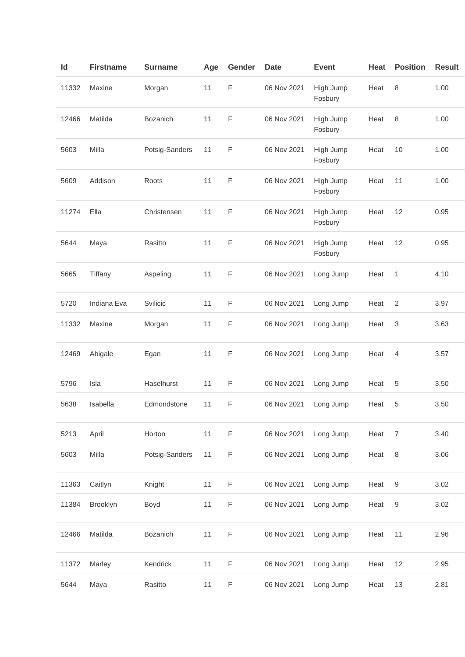| Id    | <b>Firstname</b> | <b>Surname</b> | Age | Gender      | <b>Date</b> | <b>Event</b>         | Heat | <b>Position</b> | <b>Result</b> |
|-------|------------------|----------------|-----|-------------|-------------|----------------------|------|-----------------|---------------|
| 11332 | Maxine           | Morgan         | 11  | F           | 06 Nov 2021 | High Jump<br>Fosbury | Heat | 8               | 1.00          |
| 12466 | Matilda          | Bozanich       | 11  | $\mathsf F$ | 06 Nov 2021 | High Jump<br>Fosbury | Heat | 8               | 1.00          |
| 5603  | Milla            | Potsig-Sanders | 11  | $\mathsf F$ | 06 Nov 2021 | High Jump<br>Fosbury | Heat | 10              | 1.00          |
| 5609  | Addison          | Roots          | 11  | F           | 06 Nov 2021 | High Jump<br>Fosbury | Heat | 11              | 1.00          |
| 11274 | Ella             | Christensen    | 11  | $\mathsf F$ | 06 Nov 2021 | High Jump<br>Fosbury | Heat | 12              | 0.95          |
| 5644  | Maya             | Rasitto        | 11  | $\mathsf F$ | 06 Nov 2021 | High Jump<br>Fosbury | Heat | 12              | 0.95          |
| 5665  | Tiffany          | Aspeling       | 11  | F           | 06 Nov 2021 | Long Jump            | Heat | 1               | 4.10          |
| 5720  | Indiana Eva      | Svilicic       | 11  | F           | 06 Nov 2021 | Long Jump            | Heat | $\overline{2}$  | 3.97          |
| 11332 | Maxine           | Morgan         | 11  | $\mathsf F$ | 06 Nov 2021 | Long Jump            | Heat | 3               | 3.63          |
| 12469 | Abigale          | Egan           | 11  | $\mathsf F$ | 06 Nov 2021 | Long Jump            | Heat | 4               | 3.57          |
| 5796  | Isla             | Haselhurst     | 11  | $\mathsf F$ | 06 Nov 2021 | Long Jump            | Heat | 5               | 3.50          |
| 5638  | Isabella         | Edmondstone    | 11  | F           | 06 Nov 2021 | Long Jump            | Heat | 5               | 3.50          |
| 5213  | April            | Horton         | 11  | $\mathsf F$ | 06 Nov 2021 | Long Jump            | Heat | $\overline{7}$  | 3.40          |
| 5603  | Milla            | Potsig-Sanders | 11  | $\mathsf F$ | 06 Nov 2021 | Long Jump            | Heat | 8               | 3.06          |
| 11363 | Caitlyn          | Knight         | 11  | F           | 06 Nov 2021 | Long Jump            | Heat | 9               | 3.02          |
| 11384 | Brooklyn         | Boyd           | 11  | F           | 06 Nov 2021 | Long Jump            | Heat | 9               | 3.02          |
| 12466 | Matilda          | Bozanich       | 11  | $\mathsf F$ | 06 Nov 2021 | Long Jump            | Heat | 11              | 2.96          |
| 11372 | Marley           | Kendrick       | 11  | $\mathsf F$ | 06 Nov 2021 | Long Jump            | Heat | 12              | 2.95          |
| 5644  | Maya             | Rasitto        | 11  | F           | 06 Nov 2021 | Long Jump            | Heat | 13              | 2.81          |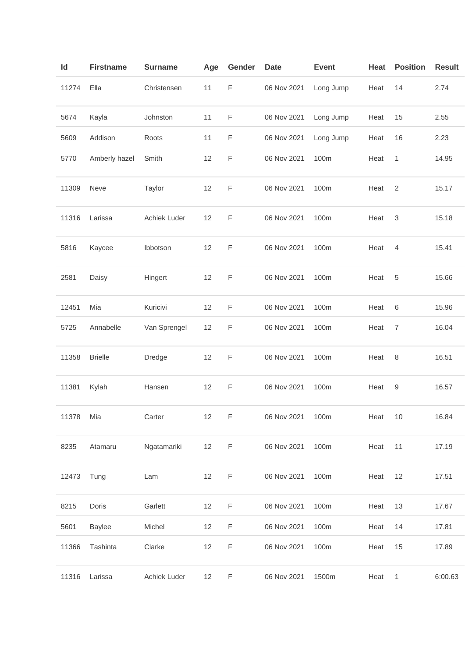| ld    | <b>Firstname</b> | <b>Surname</b> | Age | Gender      | <b>Date</b> | <b>Event</b> | Heat | <b>Position</b> | <b>Result</b> |
|-------|------------------|----------------|-----|-------------|-------------|--------------|------|-----------------|---------------|
| 11274 | Ella             | Christensen    | 11  | $\mathsf F$ | 06 Nov 2021 | Long Jump    | Heat | 14              | 2.74          |
| 5674  | Kayla            | Johnston       | 11  | $\mathsf F$ | 06 Nov 2021 | Long Jump    | Heat | 15              | 2.55          |
| 5609  | Addison          | Roots          | 11  | F           | 06 Nov 2021 | Long Jump    | Heat | 16              | 2.23          |
| 5770  | Amberly hazel    | Smith          | 12  | F           | 06 Nov 2021 | 100m         | Heat | 1               | 14.95         |
| 11309 | Neve             | Taylor         | 12  | F           | 06 Nov 2021 | 100m         | Heat | $\overline{2}$  | 15.17         |
| 11316 | Larissa          | Achiek Luder   | 12  | F           | 06 Nov 2021 | 100m         | Heat | 3               | 15.18         |
| 5816  | Kaycee           | Ibbotson       | 12  | F           | 06 Nov 2021 | 100m         | Heat | 4               | 15.41         |
| 2581  | Daisy            | Hingert        | 12  | F           | 06 Nov 2021 | 100m         | Heat | 5               | 15.66         |
| 12451 | Mia              | Kuricivi       | 12  | $\mathsf F$ | 06 Nov 2021 | 100m         | Heat | 6               | 15.96         |
| 5725  | Annabelle        | Van Sprengel   | 12  | F           | 06 Nov 2021 | 100m         | Heat | $\overline{7}$  | 16.04         |
| 11358 | <b>Brielle</b>   | Dredge         | 12  | F           | 06 Nov 2021 | 100m         | Heat | 8               | 16.51         |
| 11381 | Kylah            | Hansen         | 12  | F           | 06 Nov 2021 | 100m         | Heat | 9               | 16.57         |
| 11378 | Mia              | Carter         | 12  | F           | 06 Nov 2021 | 100m         | Heat | $10$            | 16.84         |
| 8235  | Atamaru          | Ngatamariki    | 12  | F           | 06 Nov 2021 | 100m         | Heat | 11              | 17.19         |
| 12473 | Tung             | Lam            | 12  | $\mathsf F$ | 06 Nov 2021 | 100m         | Heat | 12              | 17.51         |
| 8215  | Doris            | Garlett        | 12  | $\mathsf F$ | 06 Nov 2021 | 100m         | Heat | 13              | 17.67         |
| 5601  | Baylee           | Michel         | 12  | F           | 06 Nov 2021 | 100m         | Heat | 14              | 17.81         |
| 11366 | Tashinta         | Clarke         | 12  | F           | 06 Nov 2021 | 100m         | Heat | 15              | 17.89         |
| 11316 | Larissa          | Achiek Luder   | 12  | F           | 06 Nov 2021 | 1500m        | Heat | 1               | 6:00.63       |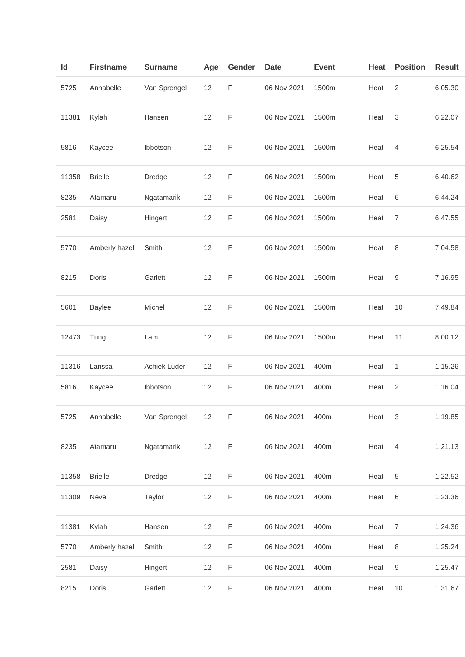| ld    | <b>Firstname</b> | <b>Surname</b> | Age | Gender      | <b>Date</b> | <b>Event</b> | Heat | <b>Position</b>  | <b>Result</b> |
|-------|------------------|----------------|-----|-------------|-------------|--------------|------|------------------|---------------|
| 5725  | Annabelle        | Van Sprengel   | 12  | $\mathsf F$ | 06 Nov 2021 | 1500m        | Heat | 2                | 6:05.30       |
| 11381 | Kylah            | Hansen         | 12  | F           | 06 Nov 2021 | 1500m        | Heat | 3                | 6:22.07       |
| 5816  | Kaycee           | Ibbotson       | 12  | F           | 06 Nov 2021 | 1500m        | Heat | $\overline{4}$   | 6:25.54       |
| 11358 | <b>Brielle</b>   | Dredge         | 12  | $\mathsf F$ | 06 Nov 2021 | 1500m        | Heat | 5                | 6:40.62       |
| 8235  | Atamaru          | Ngatamariki    | 12  | F           | 06 Nov 2021 | 1500m        | Heat | 6                | 6:44.24       |
| 2581  | Daisy            | Hingert        | 12  | F           | 06 Nov 2021 | 1500m        | Heat | $\boldsymbol{7}$ | 6:47.55       |
| 5770  | Amberly hazel    | Smith          | 12  | F           | 06 Nov 2021 | 1500m        | Heat | 8                | 7:04.58       |
| 8215  | Doris            | Garlett        | 12  | $\mathsf F$ | 06 Nov 2021 | 1500m        | Heat | 9                | 7:16.95       |
| 5601  | <b>Baylee</b>    | Michel         | 12  | F           | 06 Nov 2021 | 1500m        | Heat | 10               | 7:49.84       |
| 12473 | Tung             | Lam            | 12  | F           | 06 Nov 2021 | 1500m        | Heat | 11               | 8:00.12       |
| 11316 | Larissa          | Achiek Luder   | 12  | F           | 06 Nov 2021 | 400m         | Heat | 1                | 1:15.26       |
| 5816  | Kaycee           | Ibbotson       | 12  | F           | 06 Nov 2021 | 400m         | Heat | $\overline{c}$   | 1:16.04       |
| 5725  | Annabelle        | Van Sprengel   | 12  | $\mathsf F$ | 06 Nov 2021 | 400m         | Heat | 3                | 1:19.85       |
| 8235  | Atamaru          | Ngatamariki    | 12  | F           | 06 Nov 2021 | 400m         | Heat | $\overline{4}$   | 1:21.13       |
| 11358 | <b>Brielle</b>   | Dredge         | 12  | F           | 06 Nov 2021 | 400m         | Heat | 5                | 1:22.52       |
| 11309 | Neve             | Taylor         | 12  | F           | 06 Nov 2021 | 400m         | Heat | 6                | 1:23.36       |
| 11381 | Kylah            | Hansen         | 12  | F           | 06 Nov 2021 | 400m         | Heat | $\boldsymbol{7}$ | 1:24.36       |
| 5770  | Amberly hazel    | Smith          | 12  | F           | 06 Nov 2021 | 400m         | Heat | 8                | 1:25.24       |
| 2581  | Daisy            | Hingert        | 12  | F           | 06 Nov 2021 | 400m         | Heat | 9                | 1:25.47       |
| 8215  | Doris            | Garlett        | 12  | $\mathsf F$ | 06 Nov 2021 | 400m         | Heat | 10               | 1:31.67       |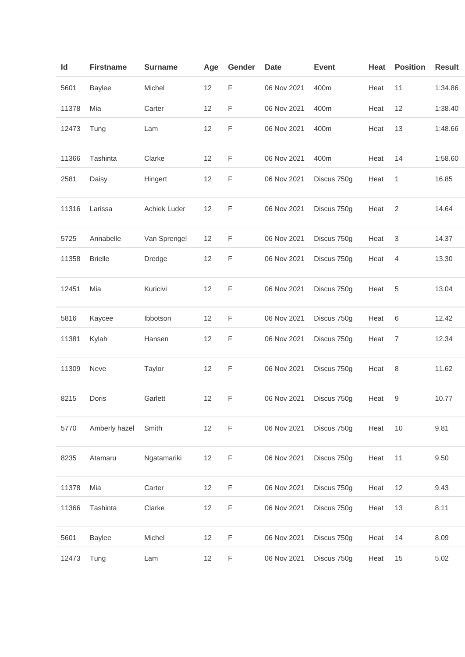| ld    | <b>Firstname</b> | <b>Surname</b> | Age | Gender      | <b>Date</b> | <b>Event</b> | Heat | <b>Position</b> | <b>Result</b> |
|-------|------------------|----------------|-----|-------------|-------------|--------------|------|-----------------|---------------|
| 5601  | <b>Baylee</b>    | Michel         | 12  | F           | 06 Nov 2021 | 400m         | Heat | 11              | 1:34.86       |
| 11378 | Mia              | Carter         | 12  | F           | 06 Nov 2021 | 400m         | Heat | 12              | 1:38.40       |
| 12473 | Tung             | Lam            | 12  | F           | 06 Nov 2021 | 400m         | Heat | 13              | 1:48.66       |
| 11366 | Tashinta         | Clarke         | 12  | F           | 06 Nov 2021 | 400m         | Heat | 14              | 1:58.60       |
| 2581  | Daisy            | Hingert        | 12  | F           | 06 Nov 2021 | Discus 750g  | Heat | 1               | 16.85         |
| 11316 | Larissa          | Achiek Luder   | 12  | F           | 06 Nov 2021 | Discus 750g  | Heat | $\overline{2}$  | 14.64         |
| 5725  | Annabelle        | Van Sprengel   | 12  | F           | 06 Nov 2021 | Discus 750g  | Heat | 3               | 14.37         |
| 11358 | <b>Brielle</b>   | Dredge         | 12  | F           | 06 Nov 2021 | Discus 750g  | Heat | 4               | 13.30         |
| 12451 | Mia              | Kuricivi       | 12  | F           | 06 Nov 2021 | Discus 750g  | Heat | 5               | 13.04         |
| 5816  | Kaycee           | Ibbotson       | 12  | F           | 06 Nov 2021 | Discus 750g  | Heat | 6               | 12.42         |
| 11381 | Kylah            | Hansen         | 12  | F           | 06 Nov 2021 | Discus 750g  | Heat | 7               | 12.34         |
| 11309 | Neve             | Taylor         | 12  | F           | 06 Nov 2021 | Discus 750g  | Heat | 8               | 11.62         |
| 8215  | Doris            | Garlett        | 12  | $\mathsf F$ | 06 Nov 2021 | Discus 750g  | Heat | 9               | 10.77         |
| 5770  | Amberly hazel    | Smith          | 12  | F           | 06 Nov 2021 | Discus 750g  | Heat | 10              | 9.81          |
| 8235  | Atamaru          | Ngatamariki    | 12  | F           | 06 Nov 2021 | Discus 750g  | Heat | 11              | 9.50          |
| 11378 | Mia              | Carter         | 12  | F           | 06 Nov 2021 | Discus 750g  | Heat | 12              | 9.43          |
| 11366 | Tashinta         | Clarke         | 12  | $\mathsf F$ | 06 Nov 2021 | Discus 750g  | Heat | 13              | 8.11          |
| 5601  | <b>Baylee</b>    | Michel         | 12  | $\mathsf F$ | 06 Nov 2021 | Discus 750g  | Heat | 14              | 8.09          |
| 12473 | Tung             | Lam            | 12  | F           | 06 Nov 2021 | Discus 750g  | Heat | 15              | 5.02          |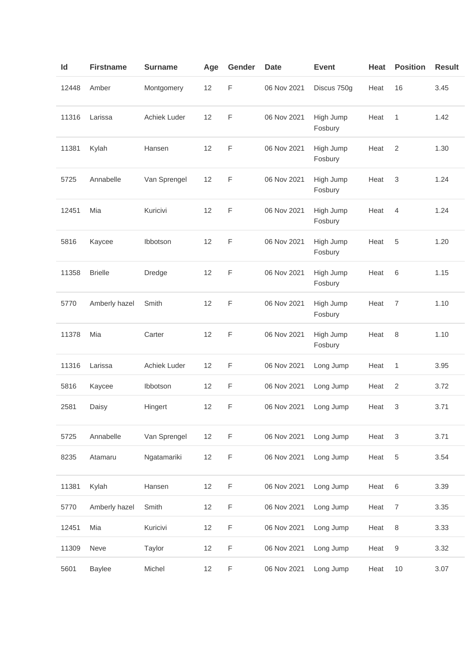| Id    | <b>Firstname</b> | <b>Surname</b> | Age | Gender      | <b>Date</b> | <b>Event</b>         | <b>Heat</b> | <b>Position</b>           | <b>Result</b> |
|-------|------------------|----------------|-----|-------------|-------------|----------------------|-------------|---------------------------|---------------|
| 12448 | Amber            | Montgomery     | 12  | F           | 06 Nov 2021 | Discus 750g          | Heat        | 16                        | 3.45          |
| 11316 | Larissa          | Achiek Luder   | 12  | F           | 06 Nov 2021 | High Jump<br>Fosbury | Heat        | 1                         | 1.42          |
| 11381 | Kylah            | Hansen         | 12  | F           | 06 Nov 2021 | High Jump<br>Fosbury | Heat        | $\overline{2}$            | 1.30          |
| 5725  | Annabelle        | Van Sprengel   | 12  | F           | 06 Nov 2021 | High Jump<br>Fosbury | Heat        | 3                         | 1.24          |
| 12451 | Mia              | Kuricivi       | 12  | F           | 06 Nov 2021 | High Jump<br>Fosbury | Heat        | $\overline{4}$            | 1.24          |
| 5816  | Kaycee           | Ibbotson       | 12  | F           | 06 Nov 2021 | High Jump<br>Fosbury | Heat        | 5                         | 1.20          |
| 11358 | <b>Brielle</b>   | <b>Dredge</b>  | 12  | F           | 06 Nov 2021 | High Jump<br>Fosbury | Heat        | 6                         | 1.15          |
| 5770  | Amberly hazel    | Smith          | 12  | F           | 06 Nov 2021 | High Jump<br>Fosbury | Heat        | $\overline{7}$            | 1.10          |
| 11378 | Mia              | Carter         | 12  | F           | 06 Nov 2021 | High Jump<br>Fosbury | Heat        | 8                         | 1.10          |
| 11316 | Larissa          | Achiek Luder   | 12  | F           | 06 Nov 2021 | Long Jump            | Heat        | 1                         | 3.95          |
| 5816  | Kaycee           | Ibbotson       | 12  | F           | 06 Nov 2021 | Long Jump            | Heat        | $\overline{c}$            | 3.72          |
| 2581  | Daisy            | Hingert        | 12  | F           | 06 Nov 2021 | Long Jump            | Heat        | 3                         | 3.71          |
| 5725  | Annabelle        | Van Sprengel   | 12  | $\mathsf F$ | 06 Nov 2021 | Long Jump            | Heat        | $\ensuremath{\mathsf{3}}$ | 3.71          |
| 8235  | Atamaru          | Ngatamariki    | 12  | $\mathsf F$ | 06 Nov 2021 | Long Jump            | Heat        | 5                         | 3.54          |
| 11381 | Kylah            | Hansen         | 12  | F           | 06 Nov 2021 | Long Jump            | Heat        | 6                         | 3.39          |
| 5770  | Amberly hazel    | Smith          | 12  | $\mathsf F$ | 06 Nov 2021 | Long Jump            | Heat        | $\overline{7}$            | 3.35          |
| 12451 | Mia              | Kuricivi       | 12  | F           | 06 Nov 2021 | Long Jump            | Heat        | 8                         | 3.33          |
| 11309 | Neve             | Taylor         | 12  | $\mathsf F$ | 06 Nov 2021 | Long Jump            | Heat        | 9                         | 3.32          |
| 5601  | <b>Baylee</b>    | Michel         | 12  | F           | 06 Nov 2021 | Long Jump            | Heat        | 10                        | 3.07          |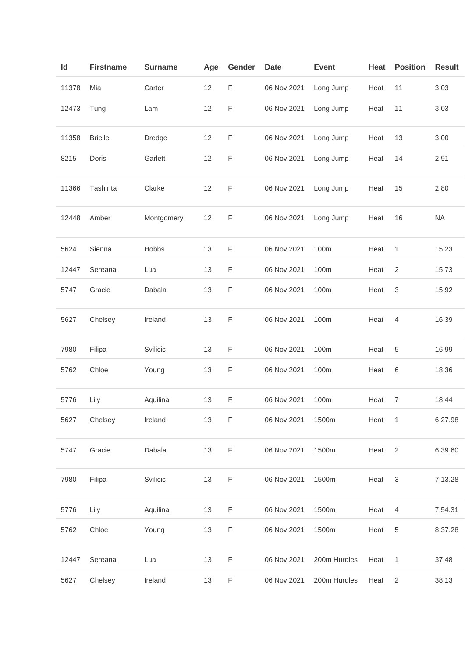| ld    | <b>Firstname</b> | <b>Surname</b> | Age | Gender | <b>Date</b> | <b>Event</b> | Heat | <b>Position</b> | <b>Result</b> |
|-------|------------------|----------------|-----|--------|-------------|--------------|------|-----------------|---------------|
| 11378 | Mia              | Carter         | 12  | F      | 06 Nov 2021 | Long Jump    | Heat | 11              | 3.03          |
| 12473 | Tung             | Lam            | 12  | F      | 06 Nov 2021 | Long Jump    | Heat | 11              | 3.03          |
| 11358 | <b>Brielle</b>   | Dredge         | 12  | F      | 06 Nov 2021 | Long Jump    | Heat | 13              | 3.00          |
| 8215  | Doris            | Garlett        | 12  | F      | 06 Nov 2021 | Long Jump    | Heat | 14              | 2.91          |
| 11366 | Tashinta         | Clarke         | 12  | F      | 06 Nov 2021 | Long Jump    | Heat | 15              | 2.80          |
| 12448 | Amber            | Montgomery     | 12  | F      | 06 Nov 2021 | Long Jump    | Heat | 16              | <b>NA</b>     |
| 5624  | Sienna           | Hobbs          | 13  | F      | 06 Nov 2021 | 100m         | Heat | 1               | 15.23         |
| 12447 | Sereana          | Lua            | 13  | F      | 06 Nov 2021 | 100m         | Heat | $\overline{2}$  | 15.73         |
| 5747  | Gracie           | Dabala         | 13  | F      | 06 Nov 2021 | 100m         | Heat | 3               | 15.92         |
| 5627  | Chelsey          | Ireland        | 13  | F      | 06 Nov 2021 | 100m         | Heat | 4               | 16.39         |
| 7980  | Filipa           | Svilicic       | 13  | F      | 06 Nov 2021 | 100m         | Heat | 5               | 16.99         |
| 5762  | Chloe            | Young          | 13  | F      | 06 Nov 2021 | 100m         | Heat | 6               | 18.36         |
| 5776  | Lily             | Aquilina       | 13  | F      | 06 Nov 2021 | 100m         | Heat | $\overline{7}$  | 18.44         |
| 5627  | Chelsey          | Ireland        | 13  | F      | 06 Nov 2021 | 1500m        | Heat | $\mathbf{1}$    | 6:27.98       |
| 5747  | Gracie           | Dabala         | 13  | F      | 06 Nov 2021 | 1500m        | Heat | $\overline{2}$  | 6:39.60       |
| 7980  | Filipa           | Svilicic       | 13  | F      | 06 Nov 2021 | 1500m        | Heat | $\sqrt{3}$      | 7:13.28       |
| 5776  | Lily             | Aquilina       | 13  | F      | 06 Nov 2021 | 1500m        | Heat | $\overline{4}$  | 7:54.31       |
| 5762  | Chloe            | Young          | 13  | F      | 06 Nov 2021 | 1500m        | Heat | 5               | 8:37.28       |
| 12447 | Sereana          | Lua            | 13  | F      | 06 Nov 2021 | 200m Hurdles | Heat | 1               | 37.48         |
| 5627  | Chelsey          | Ireland        | 13  | F      | 06 Nov 2021 | 200m Hurdles | Heat | $\sqrt{2}$      | 38.13         |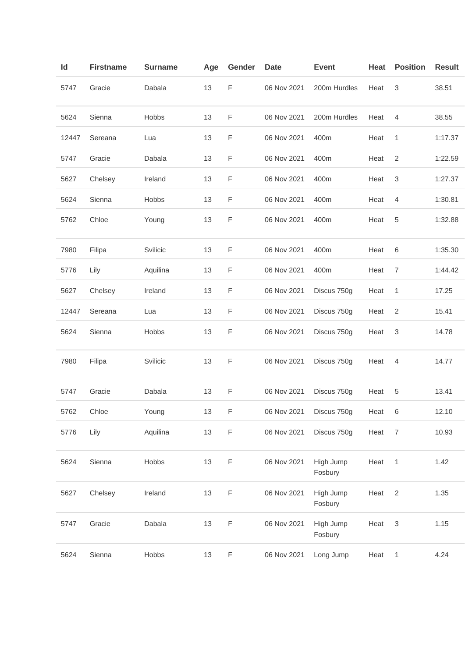| Id    | <b>Firstname</b> | <b>Surname</b> | Age | Gender | <b>Date</b> | <b>Event</b>         | Heat | <b>Position</b> | <b>Result</b> |
|-------|------------------|----------------|-----|--------|-------------|----------------------|------|-----------------|---------------|
| 5747  | Gracie           | Dabala         | 13  | F      | 06 Nov 2021 | 200m Hurdles         | Heat | 3               | 38.51         |
| 5624  | Sienna           | Hobbs          | 13  | F      | 06 Nov 2021 | 200m Hurdles         | Heat | 4               | 38.55         |
| 12447 | Sereana          | Lua            | 13  | F      | 06 Nov 2021 | 400m                 | Heat | 1               | 1:17.37       |
| 5747  | Gracie           | Dabala         | 13  | F      | 06 Nov 2021 | 400m                 | Heat | 2               | 1:22.59       |
| 5627  | Chelsey          | Ireland        | 13  | F      | 06 Nov 2021 | 400m                 | Heat | 3               | 1:27.37       |
| 5624  | Sienna           | Hobbs          | 13  | F      | 06 Nov 2021 | 400m                 | Heat | 4               | 1:30.81       |
| 5762  | Chloe            | Young          | 13  | F      | 06 Nov 2021 | 400m                 | Heat | 5               | 1:32.88       |
| 7980  | Filipa           | Svilicic       | 13  | F      | 06 Nov 2021 | 400m                 | Heat | $\,6$           | 1:35.30       |
| 5776  | Lily             | Aquilina       | 13  | F      | 06 Nov 2021 | 400m                 | Heat | 7               | 1:44.42       |
| 5627  | Chelsey          | Ireland        | 13  | F      | 06 Nov 2021 | Discus 750g          | Heat | 1               | 17.25         |
| 12447 | Sereana          | Lua            | 13  | F      | 06 Nov 2021 | Discus 750g          | Heat | $\overline{2}$  | 15.41         |
| 5624  | Sienna           | Hobbs          | 13  | F      | 06 Nov 2021 | Discus 750g          | Heat | 3               | 14.78         |
| 7980  | Filipa           | Svilicic       | 13  | F      | 06 Nov 2021 | Discus 750g          | Heat | 4               | 14.77         |
| 5747  | Gracie           | Dabala         | 13  | F      | 06 Nov 2021 | Discus 750g          | Heat | 5               | 13.41         |
| 5762  | Chloe            | Young          | 13  | F      | 06 Nov 2021 | Discus 750g          | Heat | $\,6\,$         | 12.10         |
| 5776  | Lily             | Aquilina       | 13  | F      | 06 Nov 2021 | Discus 750g          | Heat | $\overline{7}$  | 10.93         |
| 5624  | Sienna           | Hobbs          | 13  | F      | 06 Nov 2021 | High Jump<br>Fosbury | Heat | 1               | 1.42          |
| 5627  | Chelsey          | Ireland        | 13  | F      | 06 Nov 2021 | High Jump<br>Fosbury | Heat | $\overline{2}$  | 1.35          |
| 5747  | Gracie           | Dabala         | 13  | F      | 06 Nov 2021 | High Jump<br>Fosbury | Heat | $\sqrt{3}$      | 1.15          |
| 5624  | Sienna           | Hobbs          | 13  | F      | 06 Nov 2021 | Long Jump            | Heat | $\mathbf{1}$    | 4.24          |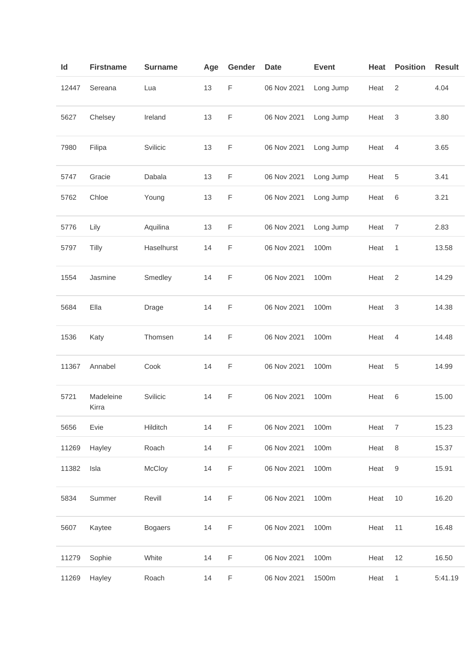| Id    | <b>Firstname</b>   | <b>Surname</b> | Age | Gender      | <b>Date</b> | <b>Event</b> | Heat | <b>Position</b>  | <b>Result</b> |
|-------|--------------------|----------------|-----|-------------|-------------|--------------|------|------------------|---------------|
| 12447 | Sereana            | Lua            | 13  | $\mathsf F$ | 06 Nov 2021 | Long Jump    | Heat | $\overline{2}$   | 4.04          |
| 5627  | Chelsey            | Ireland        | 13  | F           | 06 Nov 2021 | Long Jump    | Heat | 3                | 3.80          |
| 7980  | Filipa             | Svilicic       | 13  | F           | 06 Nov 2021 | Long Jump    | Heat | 4                | 3.65          |
| 5747  | Gracie             | Dabala         | 13  | $\mathsf F$ | 06 Nov 2021 | Long Jump    | Heat | 5                | 3.41          |
| 5762  | Chloe              | Young          | 13  | F           | 06 Nov 2021 | Long Jump    | Heat | 6                | 3.21          |
| 5776  | Lily               | Aquilina       | 13  | F           | 06 Nov 2021 | Long Jump    | Heat | $\overline{7}$   | 2.83          |
| 5797  | Tilly              | Haselhurst     | 14  | F           | 06 Nov 2021 | 100m         | Heat | 1                | 13.58         |
| 1554  | Jasmine            | Smedley        | 14  | $\mathsf F$ | 06 Nov 2021 | 100m         | Heat | $\overline{c}$   | 14.29         |
| 5684  | Ella               | Drage          | 14  | $\mathsf F$ | 06 Nov 2021 | 100m         | Heat | 3                | 14.38         |
| 1536  | Katy               | Thomsen        | 14  | F           | 06 Nov 2021 | 100m         | Heat | 4                | 14.48         |
| 11367 | Annabel            | Cook           | 14  | F           | 06 Nov 2021 | 100m         | Heat | 5                | 14.99         |
| 5721  | Madeleine<br>Kirra | Svilicic       | 14  | F           | 06 Nov 2021 | 100m         | Heat | 6                | 15.00         |
| 5656  | Evie               | Hilditch       | 14  | F           | 06 Nov 2021 | 100m         | Heat | $\boldsymbol{7}$ | 15.23         |
| 11269 | Hayley             | Roach          | 14  | F           | 06 Nov 2021 | 100m         | Heat | $\,8\,$          | 15.37         |
| 11382 | Isla               | McCloy         | 14  | $\mathsf F$ | 06 Nov 2021 | 100m         | Heat | 9                | 15.91         |
| 5834  | Summer             | Revill         | 14  | F           | 06 Nov 2021 | 100m         | Heat | $10$             | 16.20         |
| 5607  | Kaytee             | <b>Bogaers</b> | 14  | $\mathsf F$ | 06 Nov 2021 | 100m         | Heat | 11               | 16.48         |
| 11279 | Sophie             | White          | 14  | $\mathsf F$ | 06 Nov 2021 | 100m         | Heat | 12               | 16.50         |
| 11269 | Hayley             | Roach          | 14  | $\mathsf F$ | 06 Nov 2021 | 1500m        | Heat | 1                | 5:41.19       |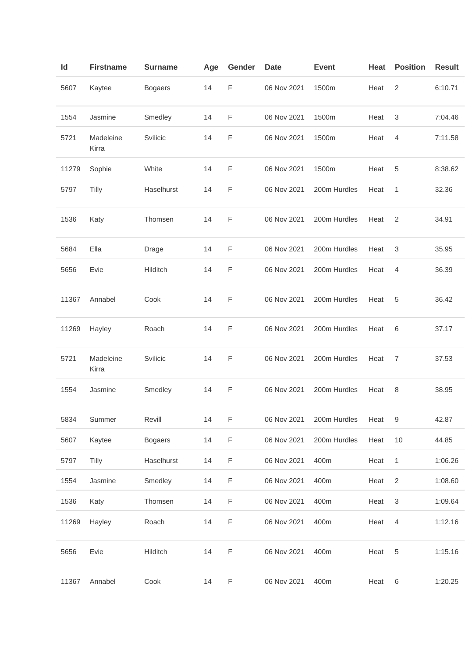| Id    | <b>Firstname</b>   | <b>Surname</b> | Age | Gender      | <b>Date</b> | <b>Event</b> | Heat | <b>Position</b> | <b>Result</b> |
|-------|--------------------|----------------|-----|-------------|-------------|--------------|------|-----------------|---------------|
| 5607  | Kaytee             | <b>Bogaers</b> | 14  | $\mathsf F$ | 06 Nov 2021 | 1500m        | Heat | 2               | 6:10.71       |
| 1554  | Jasmine            | Smedley        | 14  | $\mathsf F$ | 06 Nov 2021 | 1500m        | Heat | 3               | 7:04.46       |
| 5721  | Madeleine<br>Kirra | Svilicic       | 14  | $\mathsf F$ | 06 Nov 2021 | 1500m        | Heat | $\overline{4}$  | 7:11.58       |
| 11279 | Sophie             | White          | 14  | F           | 06 Nov 2021 | 1500m        | Heat | 5               | 8:38.62       |
| 5797  | Tilly              | Haselhurst     | 14  | F           | 06 Nov 2021 | 200m Hurdles | Heat | 1               | 32.36         |
| 1536  | Katy               | Thomsen        | 14  | F           | 06 Nov 2021 | 200m Hurdles | Heat | 2               | 34.91         |
| 5684  | Ella               | Drage          | 14  | $\mathsf F$ | 06 Nov 2021 | 200m Hurdles | Heat | 3               | 35.95         |
| 5656  | Evie               | Hilditch       | 14  | F           | 06 Nov 2021 | 200m Hurdles | Heat | $\overline{4}$  | 36.39         |
| 11367 | Annabel            | Cook           | 14  | $\mathsf F$ | 06 Nov 2021 | 200m Hurdles | Heat | 5               | 36.42         |
| 11269 | Hayley             | Roach          | 14  | F           | 06 Nov 2021 | 200m Hurdles | Heat | 6               | 37.17         |
| 5721  | Madeleine<br>Kirra | Svilicic       | 14  | F           | 06 Nov 2021 | 200m Hurdles | Heat | 7               | 37.53         |
| 1554  | Jasmine            | Smedley        | 14  | $\mathsf F$ | 06 Nov 2021 | 200m Hurdles | Heat | 8               | 38.95         |
| 5834  | Summer             | Revill         | 14  | F           | 06 Nov 2021 | 200m Hurdles | Heat | 9               | 42.87         |
| 5607  | Kaytee             | <b>Bogaers</b> | 14  | $\mathsf F$ | 06 Nov 2021 | 200m Hurdles | Heat | 10              | 44.85         |
| 5797  | Tilly              | Haselhurst     | 14  | $\mathsf F$ | 06 Nov 2021 | 400m         | Heat | $\mathbf{1}$    | 1:06.26       |
| 1554  | Jasmine            | Smedley        | 14  | F           | 06 Nov 2021 | 400m         | Heat | $\overline{2}$  | 1:08.60       |
| 1536  | Katy               | Thomsen        | 14  | F           | 06 Nov 2021 | 400m         | Heat | 3               | 1:09.64       |
| 11269 | Hayley             | Roach          | 14  | F           | 06 Nov 2021 | 400m         | Heat | $\overline{4}$  | 1:12.16       |
| 5656  | Evie               | Hilditch       | 14  | F           | 06 Nov 2021 | 400m         | Heat | 5               | 1:15.16       |
| 11367 | Annabel            | Cook           | 14  | $\mathsf F$ | 06 Nov 2021 | 400m         | Heat | 6               | 1:20.25       |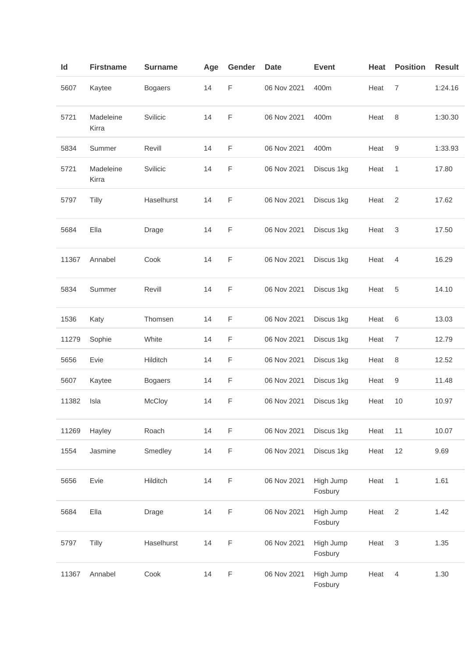| ld    | <b>Firstname</b>   | <b>Surname</b> | Age | Gender      | <b>Date</b> | <b>Event</b>         | <b>Heat</b> | <b>Position</b> | <b>Result</b> |
|-------|--------------------|----------------|-----|-------------|-------------|----------------------|-------------|-----------------|---------------|
| 5607  | Kaytee             | <b>Bogaers</b> | 14  | F           | 06 Nov 2021 | 400m                 | Heat        | 7               | 1:24.16       |
| 5721  | Madeleine<br>Kirra | Svilicic       | 14  | F           | 06 Nov 2021 | 400m                 | Heat        | 8               | 1:30.30       |
| 5834  | Summer             | Revill         | 14  | $\mathsf F$ | 06 Nov 2021 | 400m                 | Heat        | 9               | 1:33.93       |
| 5721  | Madeleine<br>Kirra | Svilicic       | 14  | F           | 06 Nov 2021 | Discus 1kg           | Heat        | 1               | 17.80         |
| 5797  | Tilly              | Haselhurst     | 14  | F           | 06 Nov 2021 | Discus 1kg           | Heat        | 2               | 17.62         |
| 5684  | Ella               | Drage          | 14  | $\mathsf F$ | 06 Nov 2021 | Discus 1kg           | Heat        | 3               | 17.50         |
| 11367 | Annabel            | Cook           | 14  | F           | 06 Nov 2021 | Discus 1kg           | Heat        | $\overline{4}$  | 16.29         |
| 5834  | Summer             | Revill         | 14  | F           | 06 Nov 2021 | Discus 1kg           | Heat        | 5               | 14.10         |
| 1536  | Katy               | Thomsen        | 14  | $\mathsf F$ | 06 Nov 2021 | Discus 1kg           | Heat        | 6               | 13.03         |
| 11279 | Sophie             | White          | 14  | F           | 06 Nov 2021 | Discus 1kg           | Heat        | $\overline{7}$  | 12.79         |
| 5656  | Evie               | Hilditch       | 14  | F           | 06 Nov 2021 | Discus 1kg           | Heat        | $\,8\,$         | 12.52         |
| 5607  | Kaytee             | <b>Bogaers</b> | 14  | F           | 06 Nov 2021 | Discus 1kg           | Heat        | 9               | 11.48         |
| 11382 | Isla               | McCloy         | 14  | F           | 06 Nov 2021 | Discus 1kg           | Heat        | 10              | 10.97         |
| 11269 | Hayley             | Roach          | 14  | $\mathsf F$ | 06 Nov 2021 | Discus 1kg           | Heat        | 11              | 10.07         |
| 1554  | Jasmine            | Smedley        | 14  | $\mathsf F$ | 06 Nov 2021 | Discus 1kg           | Heat        | 12              | 9.69          |
| 5656  | Evie               | Hilditch       | 14  | $\mathsf F$ | 06 Nov 2021 | High Jump<br>Fosbury | Heat        | 1               | 1.61          |
| 5684  | Ella               | Drage          | 14  | F           | 06 Nov 2021 | High Jump<br>Fosbury | Heat        | $\sqrt{2}$      | 1.42          |
| 5797  | Tilly              | Haselhurst     | 14  | $\mathsf F$ | 06 Nov 2021 | High Jump<br>Fosbury | Heat        | 3               | 1.35          |
| 11367 | Annabel            | Cook           | 14  | $\mathsf F$ | 06 Nov 2021 | High Jump<br>Fosbury | Heat        | $\overline{4}$  | 1.30          |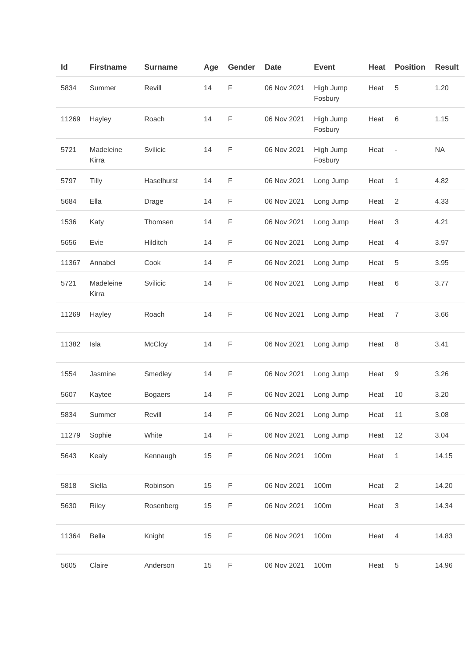| Id    | <b>Firstname</b>   | <b>Surname</b> | Age | Gender | <b>Date</b> | <b>Event</b>         | Heat | <b>Position</b>          | <b>Result</b> |
|-------|--------------------|----------------|-----|--------|-------------|----------------------|------|--------------------------|---------------|
| 5834  | Summer             | Revill         | 14  | F      | 06 Nov 2021 | High Jump<br>Fosbury | Heat | 5                        | 1.20          |
| 11269 | Hayley             | Roach          | 14  | F      | 06 Nov 2021 | High Jump<br>Fosbury | Heat | 6                        | 1.15          |
| 5721  | Madeleine<br>Kirra | Svilicic       | 14  | F      | 06 Nov 2021 | High Jump<br>Fosbury | Heat | $\overline{\phantom{a}}$ | <b>NA</b>     |
| 5797  | Tilly              | Haselhurst     | 14  | F      | 06 Nov 2021 | Long Jump            | Heat | 1                        | 4.82          |
| 5684  | Ella               | Drage          | 14  | F      | 06 Nov 2021 | Long Jump            | Heat | $\overline{2}$           | 4.33          |
| 1536  | Katy               | Thomsen        | 14  | F      | 06 Nov 2021 | Long Jump            | Heat | 3                        | 4.21          |
| 5656  | Evie               | Hilditch       | 14  | F      | 06 Nov 2021 | Long Jump            | Heat | 4                        | 3.97          |
| 11367 | Annabel            | Cook           | 14  | F      | 06 Nov 2021 | Long Jump            | Heat | 5                        | 3.95          |
| 5721  | Madeleine<br>Kirra | Svilicic       | 14  | F      | 06 Nov 2021 | Long Jump            | Heat | 6                        | 3.77          |
| 11269 | Hayley             | Roach          | 14  | F      | 06 Nov 2021 | Long Jump            | Heat | $\overline{7}$           | 3.66          |
| 11382 | Isla               | McCloy         | 14  | F      | 06 Nov 2021 | Long Jump            | Heat | 8                        | 3.41          |
| 1554  | Jasmine            | Smedley        | 14  | F      | 06 Nov 2021 | Long Jump            | Heat | 9                        | 3.26          |
| 5607  | Kaytee             | <b>Bogaers</b> | 14  | F      | 06 Nov 2021 | Long Jump            | Heat | 10                       | 3.20          |
| 5834  | Summer             | Revill         | 14  | F      | 06 Nov 2021 | Long Jump            | Heat | 11                       | 3.08          |
| 11279 | Sophie             | White          | 14  | F      | 06 Nov 2021 | Long Jump            | Heat | 12                       | 3.04          |
| 5643  | Kealy              | Kennaugh       | 15  | F      | 06 Nov 2021 | 100m                 | Heat | $\mathbf{1}$             | 14.15         |
| 5818  | Siella             | Robinson       | 15  | F      | 06 Nov 2021 | 100m                 | Heat | $\overline{2}$           | 14.20         |
| 5630  | Riley              | Rosenberg      | 15  | F      | 06 Nov 2021 | 100m                 | Heat | 3                        | 14.34         |
| 11364 | <b>Bella</b>       | Knight         | 15  | F      | 06 Nov 2021 | 100m                 | Heat | 4                        | 14.83         |
| 5605  | Claire             | Anderson       | 15  | F      | 06 Nov 2021 | 100m                 | Heat | 5                        | 14.96         |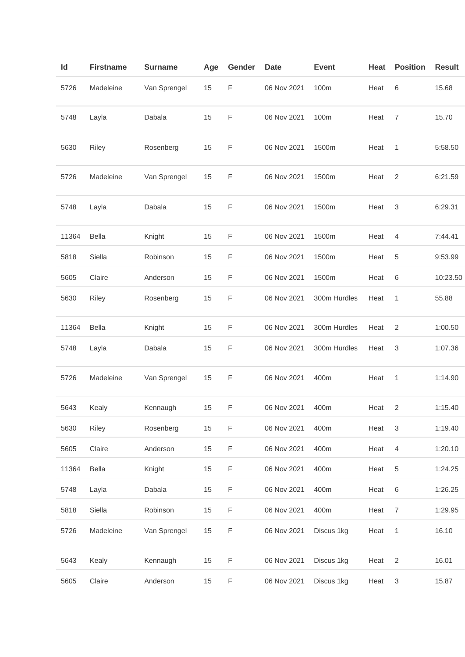| ld    | <b>Firstname</b> | <b>Surname</b> | Age | Gender | <b>Date</b> | <b>Event</b> | Heat | <b>Position</b>           | <b>Result</b> |
|-------|------------------|----------------|-----|--------|-------------|--------------|------|---------------------------|---------------|
| 5726  | Madeleine        | Van Sprengel   | 15  | F      | 06 Nov 2021 | 100m         | Heat | 6                         | 15.68         |
| 5748  | Layla            | Dabala         | 15  | F      | 06 Nov 2021 | 100m         | Heat | $\overline{7}$            | 15.70         |
| 5630  | Riley            | Rosenberg      | 15  | F      | 06 Nov 2021 | 1500m        | Heat | 1                         | 5:58.50       |
| 5726  | Madeleine        | Van Sprengel   | 15  | F      | 06 Nov 2021 | 1500m        | Heat | $\overline{2}$            | 6:21.59       |
| 5748  | Layla            | Dabala         | 15  | F      | 06 Nov 2021 | 1500m        | Heat | 3                         | 6:29.31       |
| 11364 | <b>Bella</b>     | Knight         | 15  | F      | 06 Nov 2021 | 1500m        | Heat | 4                         | 7:44.41       |
| 5818  | Siella           | Robinson       | 15  | F      | 06 Nov 2021 | 1500m        | Heat | 5                         | 9:53.99       |
| 5605  | Claire           | Anderson       | 15  | F      | 06 Nov 2021 | 1500m        | Heat | 6                         | 10:23.50      |
| 5630  | Riley            | Rosenberg      | 15  | F      | 06 Nov 2021 | 300m Hurdles | Heat | 1                         | 55.88         |
| 11364 | <b>Bella</b>     | Knight         | 15  | F      | 06 Nov 2021 | 300m Hurdles | Heat | 2                         | 1:00.50       |
| 5748  | Layla            | Dabala         | 15  | F      | 06 Nov 2021 | 300m Hurdles | Heat | 3                         | 1:07.36       |
| 5726  | Madeleine        | Van Sprengel   | 15  | F      | 06 Nov 2021 | 400m         | Heat | 1                         | 1:14.90       |
| 5643  | Kealy            | Kennaugh       | 15  | F      | 06 Nov 2021 | 400m         | Heat | 2                         | 1:15.40       |
| 5630  | Riley            | Rosenberg      | 15  | F      | 06 Nov 2021 | 400m         | Heat | $\ensuremath{\mathsf{3}}$ | 1:19.40       |
| 5605  | Claire           | Anderson       | 15  | F      | 06 Nov 2021 | 400m         | Heat | 4                         | 1:20.10       |
| 11364 | Bella            | Knight         | 15  | F      | 06 Nov 2021 | 400m         | Heat | 5                         | 1:24.25       |
| 5748  | Layla            | Dabala         | 15  | F      | 06 Nov 2021 | 400m         | Heat | $\,6\,$                   | 1:26.25       |
| 5818  | Siella           | Robinson       | 15  | F      | 06 Nov 2021 | 400m         | Heat | $\overline{7}$            | 1:29.95       |
| 5726  | Madeleine        | Van Sprengel   | 15  | F      | 06 Nov 2021 | Discus 1kg   | Heat | 1                         | 16.10         |
| 5643  | Kealy            | Kennaugh       | 15  | F      | 06 Nov 2021 | Discus 1kg   | Heat | $\overline{2}$            | 16.01         |
| 5605  | Claire           | Anderson       | 15  | F      | 06 Nov 2021 | Discus 1kg   | Heat | $\ensuremath{\mathsf{3}}$ | 15.87         |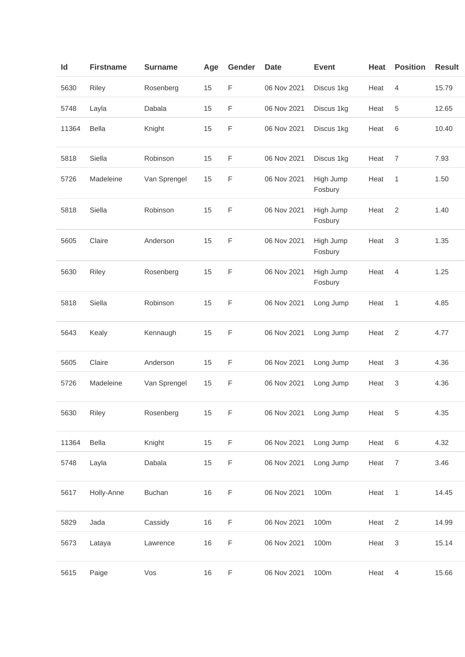| Id    | <b>Firstname</b> | <b>Surname</b> | Age | Gender      | <b>Date</b> | <b>Event</b>         | Heat   | <b>Position</b> | <b>Result</b> |
|-------|------------------|----------------|-----|-------------|-------------|----------------------|--------|-----------------|---------------|
| 5630  | Riley            | Rosenberg      | 15  | F           | 06 Nov 2021 | Discus 1kg           | Heat   | $\overline{4}$  | 15.79         |
| 5748  | Layla            | Dabala         | 15  | F           | 06 Nov 2021 | Discus 1kg           | Heat   | 5               | 12.65         |
| 11364 | Bella            | Knight         | 15  | F           | 06 Nov 2021 | Discus 1kg           | Heat   | 6               | 10.40         |
| 5818  | Siella           | Robinson       | 15  | F           | 06 Nov 2021 | Discus 1kg           | Heat   | 7               | 7.93          |
| 5726  | Madeleine        | Van Sprengel   | 15  | F           | 06 Nov 2021 | High Jump<br>Fosbury | Heat   | 1               | 1.50          |
| 5818  | Siella           | Robinson       | 15  | F           | 06 Nov 2021 | High Jump<br>Fosbury | Heat   | $\overline{2}$  | 1.40          |
| 5605  | Claire           | Anderson       | 15  | F           | 06 Nov 2021 | High Jump<br>Fosbury | Heat   | 3               | 1.35          |
| 5630  | Riley            | Rosenberg      | 15  | F           | 06 Nov 2021 | High Jump<br>Fosbury | Heat   | $\overline{4}$  | 1.25          |
| 5818  | Siella           | Robinson       | 15  | F           | 06 Nov 2021 | Long Jump            | Heat   | 1               | 4.85          |
| 5643  | Kealy            | Kennaugh       | 15  | $\mathsf F$ | 06 Nov 2021 | Long Jump            | Heat   | $\sqrt{2}$      | 4.77          |
| 5605  | Claire           | Anderson       | 15  | F           | 06 Nov 2021 | Long Jump            | Heat   | 3               | 4.36          |
| 5726  | Madeleine        | Van Sprengel   | 15  | F           | 06 Nov 2021 | Long Jump            | Heat   | 3               | 4.36          |
| 5630  | Riley            | Rosenberg      | 15  | F           | 06 Nov 2021 | Long Jump            | Heat 5 |                 | 4.35          |
| 11364 | Bella            | Knight         | 15  | F           | 06 Nov 2021 | Long Jump            | Heat   | $\,6\,$         | 4.32          |
| 5748  | Layla            | Dabala         | 15  | F           | 06 Nov 2021 | Long Jump            | Heat   | $\overline{7}$  | 3.46          |
| 5617  | Holly-Anne       | <b>Buchan</b>  | 16  | F           | 06 Nov 2021 | 100m                 | Heat   | 1               | 14.45         |
| 5829  | Jada             | Cassidy        | 16  | F           | 06 Nov 2021 | 100m                 | Heat   | $\overline{c}$  | 14.99         |
| 5673  | Lataya           | Lawrence       | 16  | F           | 06 Nov 2021 | 100m                 | Heat   | 3               | 15.14         |
| 5615  | Paige            | Vos            | 16  | F           | 06 Nov 2021 | 100m                 | Heat   | $\overline{4}$  | 15.66         |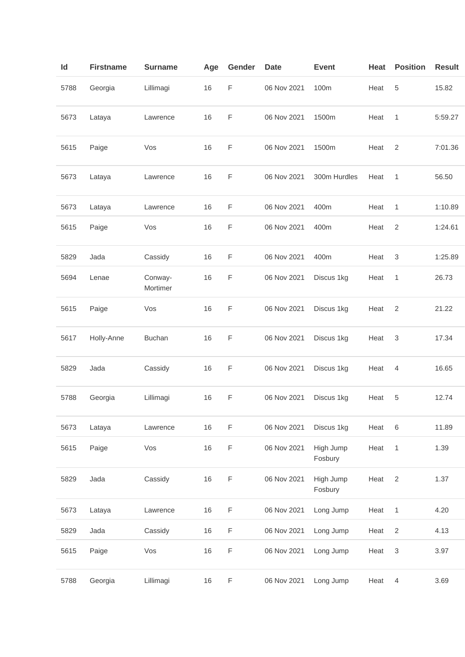| ld   | <b>Firstname</b> | <b>Surname</b>      | Age | Gender      | <b>Date</b> | <b>Event</b>         | Heat | <b>Position</b>           | <b>Result</b> |
|------|------------------|---------------------|-----|-------------|-------------|----------------------|------|---------------------------|---------------|
| 5788 | Georgia          | Lillimagi           | 16  | F           | 06 Nov 2021 | 100m                 | Heat | 5                         | 15.82         |
| 5673 | Lataya           | Lawrence            | 16  | F           | 06 Nov 2021 | 1500m                | Heat | 1                         | 5:59.27       |
| 5615 | Paige            | Vos                 | 16  | F           | 06 Nov 2021 | 1500m                | Heat | $\overline{2}$            | 7:01.36       |
| 5673 | Lataya           | Lawrence            | 16  | F           | 06 Nov 2021 | 300m Hurdles         | Heat | 1                         | 56.50         |
| 5673 | Lataya           | Lawrence            | 16  | F           | 06 Nov 2021 | 400m                 | Heat | 1                         | 1:10.89       |
| 5615 | Paige            | Vos                 | 16  | F           | 06 Nov 2021 | 400m                 | Heat | $\overline{2}$            | 1:24.61       |
| 5829 | Jada             | Cassidy             | 16  | F           | 06 Nov 2021 | 400m                 | Heat | 3                         | 1:25.89       |
| 5694 | Lenae            | Conway-<br>Mortimer | 16  | F           | 06 Nov 2021 | Discus 1kg           | Heat | 1                         | 26.73         |
| 5615 | Paige            | Vos                 | 16  | F           | 06 Nov 2021 | Discus 1kg           | Heat | 2                         | 21.22         |
| 5617 | Holly-Anne       | <b>Buchan</b>       | 16  | F           | 06 Nov 2021 | Discus 1kg           | Heat | 3                         | 17.34         |
| 5829 | Jada             | Cassidy             | 16  | F           | 06 Nov 2021 | Discus 1kg           | Heat | $\overline{4}$            | 16.65         |
| 5788 | Georgia          | Lillimagi           | 16  | F           | 06 Nov 2021 | Discus 1kg           | Heat | 5                         | 12.74         |
| 5673 | Lataya           | Lawrence            | 16  | F           | 06 Nov 2021 | Discus 1kg           | Heat | $\,6\,$                   | 11.89         |
| 5615 | Paige            | Vos                 | 16  | $\mathsf F$ | 06 Nov 2021 | High Jump<br>Fosbury | Heat | $\mathbf{1}$              | 1.39          |
| 5829 | Jada             | Cassidy             | 16  | $\mathsf F$ | 06 Nov 2021 | High Jump<br>Fosbury | Heat | $\sqrt{2}$                | 1.37          |
| 5673 | Lataya           | Lawrence            | 16  | $\mathsf F$ | 06 Nov 2021 | Long Jump            | Heat | $\mathbf{1}$              | 4.20          |
| 5829 | Jada             | Cassidy             | 16  | F           | 06 Nov 2021 | Long Jump            | Heat | $\sqrt{2}$                | 4.13          |
| 5615 | Paige            | Vos                 | 16  | $\mathsf F$ | 06 Nov 2021 | Long Jump            | Heat | $\ensuremath{\mathsf{3}}$ | 3.97          |
| 5788 | Georgia          | Lillimagi           | 16  | $\mathsf F$ | 06 Nov 2021 | Long Jump            | Heat | $\overline{4}$            | 3.69          |